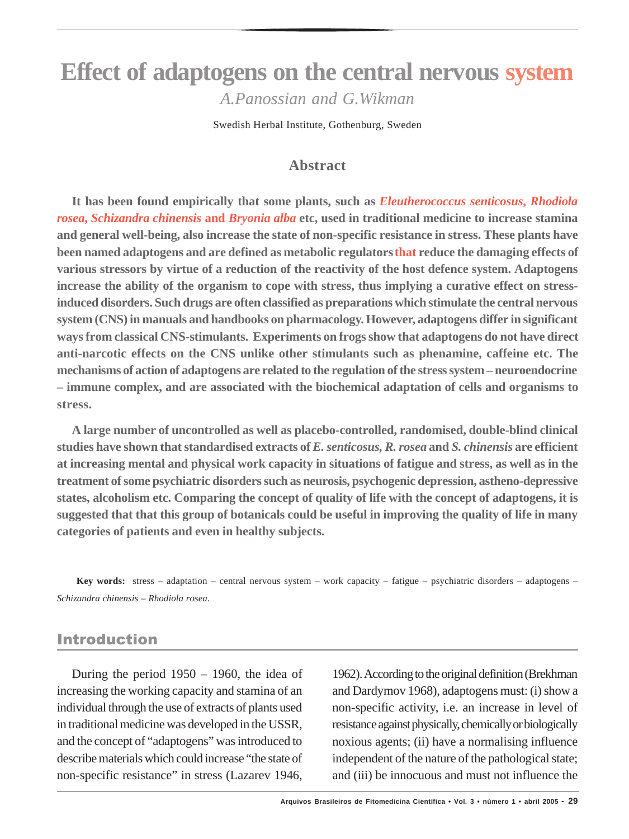# **Effect of adaptogens on the central nervous system** *A.Panossian and G.Wikman*

Swedish Herbal Institute, Gothenburg, Sweden

### **Abstract**

**It has been found empirically that some plants, such as** *Eleutherococcus senticosus***,** *Rhodiola rosea***,** *Schizandra chinensis* **and** *Bryonia alba* **etc, used in traditional medicine to increase stamina and general well-being, also increase the state of non-specific resistance in stress. These plants have been named adaptogens and are defined as metabolic regulators that reduce the damaging effects of various stressors by virtue of a reduction of the reactivity of the host defence system. Adaptogens increase the ability of the organism to cope with stress, thus implying a curative effect on stressinduced disorders. Such drugs are often classified as preparations which stimulate the central nervous system (CNS) in manuals and handbooks on pharmacology. However, adaptogens differ in significant ways from classical CNS-stimulants. Experiments on frogs show that adaptogens do not have direct anti-narcotic effects on the CNS unlike other stimulants such as phenamine, caffeine etc. The mechanisms of action of adaptogens are related to the regulation of the stress system – neuroendocrine – immune complex, and are associated with the biochemical adaptation of cells and organisms to stress.**

**A large number of uncontrolled as well as placebo-controlled, randomised, double-blind clinical studies have shown that standardised extracts of** *E. senticosus, R. rosea* **and** *S. chinensis* **are efficient at increasing mental and physical work capacity in situations of fatigue and stress, as well as in the treatment of some psychiatric disorders such as neurosis, psychogenic depression, astheno-depressive states, alcoholism etc. Comparing the concept of quality of life with the concept of adaptogens, it is suggested that that this group of botanicals could be useful in improving the quality of life in many categories of patients and even in healthy subjects.**

**Key words:** stress – adaptation – central nervous system – work capacity – fatigue – psychiatric disorders – adaptogens *– Schizandra chinensis – Rhodiola rosea.*

### Introduction

During the period 1950 – 1960, the idea of increasing the working capacity and stamina of an individual through the use of extracts of plants used in traditional medicine was developed in the USSR, and the concept of "adaptogens" was introduced to describe materials which could increase "the state of non-specific resistance" in stress (Lazarev 1946,

1962). According to the original definition (Brekhman and Dardymov 1968), adaptogens must: (i) show a non-specific activity, i.e. an increase in level of resistance against physically, chemically or biologically noxious agents; (ii) have a normalising influence independent of the nature of the pathological state; and (iii) be innocuous and must not influence the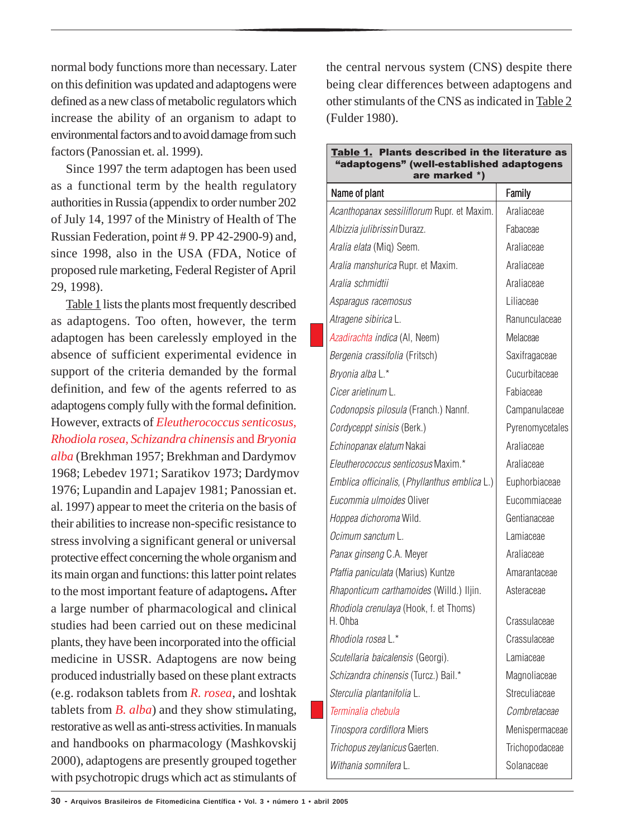normal body functions more than necessary. Later on this definition was updated and adaptogens were defined as a new class of metabolic regulators which increase the ability of an organism to adapt to environmental factors and to avoid damage from such factors (Panossian et. al. 1999).

Since 1997 the term adaptogen has been used as a functional term by the health regulatory authorities in Russia (appendix to order number 202 of July 14, 1997 of the Ministry of Health of The Russian Federation, point # 9. PP 42-2900-9) and, since 1998, also in the USA (FDA, Notice of proposed rule marketing, Federal Register of April 29, 1998).

Table 1 lists the plants most frequently described as adaptogens. Too often, however, the term adaptogen has been carelessly employed in the absence of sufficient experimental evidence in support of the criteria demanded by the formal definition, and few of the agents referred to as adaptogens comply fully with the formal definition. However, extracts of *Eleutherococcus senticosus*, *Rhodiola rosea*, *Schizandra chinensis* and *Bryonia alba* (Brekhman 1957; Brekhman and Dardymov 1968; Lebedev 1971; Saratikov 1973; Dardymov 1976; Lupandin and Lapajev 1981; Panossian et. al. 1997) appear to meet the criteria on the basis of their abilities to increase non-specific resistance to stress involving a significant general or universal protective effect concerning the whole organism and its main organ and functions: this latter point relates to the most important feature of adaptogens**.** After a large number of pharmacological and clinical studies had been carried out on these medicinal plants, they have been incorporated into the official medicine in USSR. Adaptogens are now being produced industrially based on these plant extracts (e.g. rodakson tablets from *R. rosea*, and loshtak tablets from *B. alba*) and they show stimulating, restorative as well as anti-stress activities. In manuals and handbooks on pharmacology (Mashkovskij 2000), adaptogens are presently grouped together with psychotropic drugs which act as stimulants of

the central nervous system (CNS) despite there being clear differences between adaptogens and other stimulants of the CNS as indicated in Table 2 (Fulder 1980).

| Table 1. Plants described in the literature as<br>"adaptogens" (well-established adaptogens<br>are marked *) |                 |
|--------------------------------------------------------------------------------------------------------------|-----------------|
| Name of plant                                                                                                | Family          |
| Acanthopanax sessiliflorum Rupr. et Maxim.                                                                   | Araliaceae      |
| Albizzia julibrissin Durazz.                                                                                 | Fabaceae        |
| Aralia elata (Miq) Seem.                                                                                     | Araliaceae      |
| Aralia manshurica Rupr. et Maxim.                                                                            | Araliaceae      |
| Aralia schmidtii                                                                                             | Araliaceae      |
| Asparagus racemosus                                                                                          | Liliaceae       |
| Atragene sibirica L.                                                                                         | Ranunculaceae   |
| Azadirachta indica (AI, Neem)                                                                                | Melaceae        |
| Bergenia crassifolia (Fritsch)                                                                               | Saxifragaceae   |
| Bryonia alba L.*                                                                                             | Cucurbitaceae   |
| Cicer arietinum L.                                                                                           | Fabiaceae       |
| Codonopsis pilosula (Franch.) Nannf.                                                                         | Campanulaceae   |
| Cordyceppt sinisis (Berk.)                                                                                   | Pyrenomycetales |
| Echinopanax elatum Nakai                                                                                     | Araliaceae      |
| Eleutherococcus senticosus Maxim.*                                                                           | Araliaceae      |
| Emblica officinalis, (Phyllanthus emblica L.)                                                                | Euphorbiaceae   |
| Eucommia ulmoides Oliver                                                                                     | Eucommiaceae    |
| Hoppea dichoroma Wild.                                                                                       | Gentianaceae    |
| Ocimum sanctum L.                                                                                            | Lamiaceae       |
| Panax ginseng C.A. Meyer                                                                                     | Araliaceae      |
| Pfaffia paniculata (Marius) Kuntze                                                                           | Amarantaceae    |
| Rhaponticum carthamoides (Willd.) Iljin.                                                                     | Asteraceae      |
| Rhodiola crenulaya (Hook, f. et Thoms)<br>H. Ohba                                                            | Crassulaceae    |
| Rhodiola rosea L.*                                                                                           | Crassulaceae    |
| Scutellaria baicalensis (Georgi).                                                                            | Lamiaceae       |
| Schizandra chinensis (Turcz.) Bail.*                                                                         | Magnoliaceae    |
| Sterculia plantanifolia L.                                                                                   | Streculiaceae   |
| Terminalia chebula                                                                                           | Combretaceae    |
| Tinospora cordiflora Miers                                                                                   | Menispermaceae  |
| Trichopus zeylanicus Gaerten.                                                                                | Trichopodaceae  |
| Withania somnifera L.                                                                                        | Solanaceae      |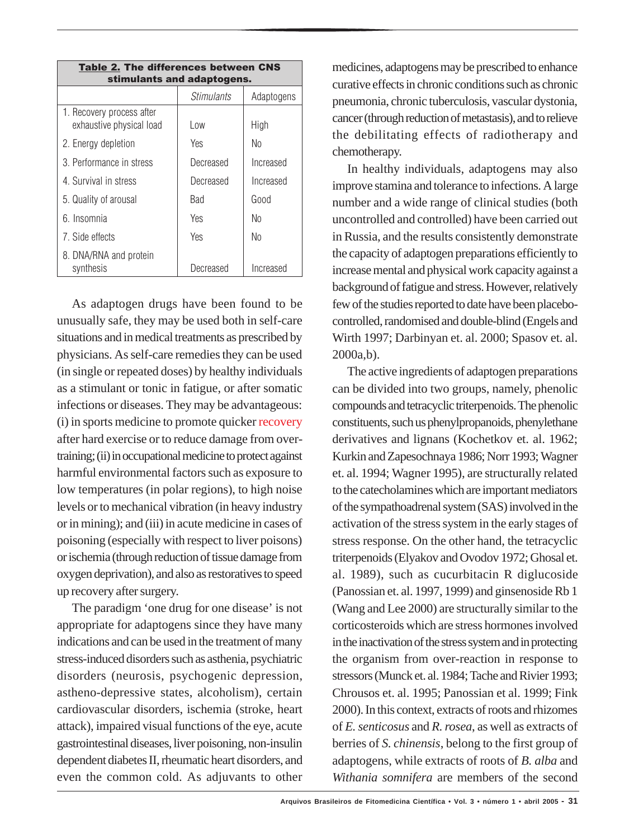| <b>Table 2. The differences between CNS</b><br>stimulants and adaptogens. |                   |            |  |
|---------------------------------------------------------------------------|-------------------|------------|--|
|                                                                           | <i>Stimulants</i> | Adaptogens |  |
| 1. Recovery process after<br>exhaustive physical load                     | Low               | High       |  |
| 2. Energy depletion                                                       | Yes               | No         |  |
| 3. Performance in stress                                                  | Decreased         | Increased  |  |
| 4. Survival in stress                                                     | Decreased         | Increased  |  |
| 5. Quality of arousal                                                     | Bad               | Good       |  |
| 6. Insomnia                                                               | Yes               | No         |  |
| 7. Side effects                                                           | <b>Yes</b>        | No         |  |
| 8. DNA/RNA and protein<br>synthesis                                       | Decreased         | Increased  |  |

As adaptogen drugs have been found to be unusually safe, they may be used both in self-care situations and in medical treatments as prescribed by physicians. As self-care remedies they can be used (in single or repeated doses) by healthy individuals as a stimulant or tonic in fatigue, or after somatic infections or diseases. They may be advantageous: (i) in sports medicine to promote quicker recovery after hard exercise or to reduce damage from overtraining; (ii) in occupational medicine to protect against harmful environmental factors such as exposure to low temperatures (in polar regions), to high noise levels or to mechanical vibration (in heavy industry or in mining); and (iii) in acute medicine in cases of poisoning (especially with respect to liver poisons) or ischemia (through reduction of tissue damage from oxygen deprivation), and also as restoratives to speed up recovery after surgery.

The paradigm 'one drug for one disease' is not appropriate for adaptogens since they have many indications and can be used in the treatment of many stress-induced disorders such as asthenia, psychiatric disorders (neurosis, psychogenic depression, astheno-depressive states, alcoholism), certain cardiovascular disorders, ischemia (stroke, heart attack), impaired visual functions of the eye, acute gastrointestinal diseases, liver poisoning, non-insulin dependent diabetes II, rheumatic heart disorders, and even the common cold. As adjuvants to other

medicines, adaptogens may be prescribed to enhance curative effects in chronic conditions such as chronic pneumonia, chronic tuberculosis, vascular dystonia, cancer (through reduction of metastasis), and to relieve the debilitating effects of radiotherapy and chemotherapy.

In healthy individuals, adaptogens may also improve stamina and tolerance to infections. A large number and a wide range of clinical studies (both uncontrolled and controlled) have been carried out in Russia, and the results consistently demonstrate the capacity of adaptogen preparations efficiently to increase mental and physical work capacity against a background of fatigue and stress. However, relatively few of the studies reported to date have been placebocontrolled, randomised and double-blind (Engels and Wirth 1997; Darbinyan et. al. 2000; Spasov et. al. 2000a,b).

The active ingredients of adaptogen preparations can be divided into two groups, namely, phenolic compounds and tetracyclic triterpenoids. The phenolic constituents, such us phenylpropanoids, phenylethane derivatives and lignans (Kochetkov et. al. 1962; Kurkin and Zapesochnaya 1986; Norr 1993; Wagner et. al. 1994; Wagner 1995), are structurally related to the catecholamines which are important mediators of the sympathoadrenal system (SAS) involved in the activation of the stress system in the early stages of stress response. On the other hand, the tetracyclic triterpenoids (Elyakov and Ovodov 1972; Ghosal et. al. 1989), such as cucurbitacin R diglucoside (Panossian et. al. 1997, 1999) and ginsenoside Rb 1 (Wang and Lee 2000) are structurally similar to the corticosteroids which are stress hormones involved in the inactivation of the stress system and in protecting the organism from over-reaction in response to stressors (Munck et. al. 1984; Tache and Rivier 1993; Chrousos et. al. 1995; Panossian et al. 1999; Fink 2000). In this context, extracts of roots and rhizomes of *E. senticosus* and *R. rosea*, as well as extracts of berries of *S. chinensis*, belong to the first group of adaptogens, while extracts of roots of *B. alba* and *Withania somnifera* are members of the second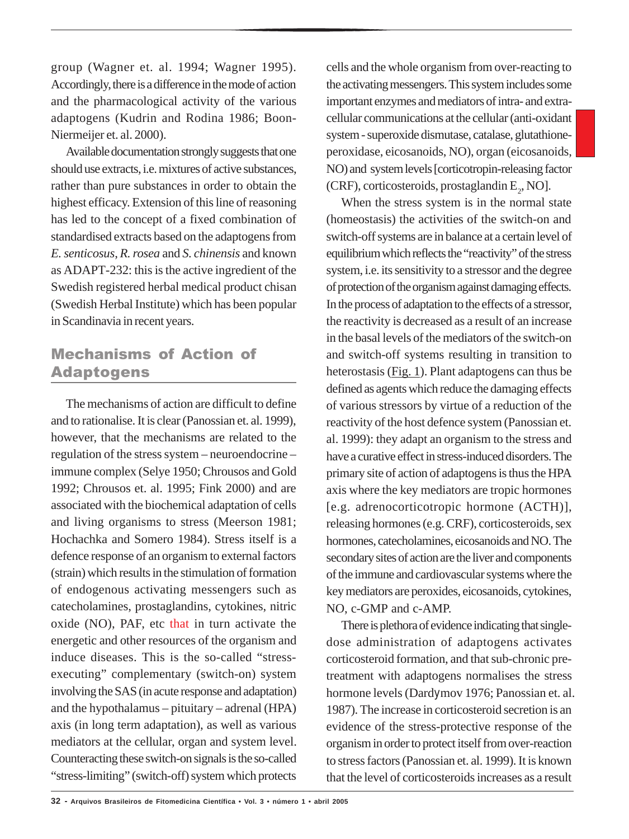group (Wagner et. al. 1994; Wagner 1995). Accordingly, there is a difference in the mode of action and the pharmacological activity of the various adaptogens (Kudrin and Rodina 1986; Boon-Niermeijer et. al. 2000).

Available documentation strongly suggests that one should use extracts, i.e. mixtures of active substances, rather than pure substances in order to obtain the highest efficacy. Extension of this line of reasoning has led to the concept of a fixed combination of standardised extracts based on the adaptogens from *E. senticosus*, *R. rosea* and *S. chinensis* and known as ADAPT-232: this is the active ingredient of the Swedish registered herbal medical product chisan (Swedish Herbal Institute) which has been popular in Scandinavia in recent years.

## Mechanisms of Action of Adaptogens

The mechanisms of action are difficult to define and to rationalise. It is clear (Panossian et. al. 1999), however, that the mechanisms are related to the regulation of the stress system – neuroendocrine – immune complex (Selye 1950; Chrousos and Gold 1992; Chrousos et. al. 1995; Fink 2000) and are associated with the biochemical adaptation of cells and living organisms to stress (Meerson 1981; Hochachka and Somero 1984). Stress itself is a defence response of an organism to external factors (strain) which results in the stimulation of formation of endogenous activating messengers such as catecholamines, prostaglandins, cytokines, nitric oxide (NO), PAF, etc that in turn activate the energetic and other resources of the organism and induce diseases. This is the so-called "stressexecuting" complementary (switch-on) system involving the SAS (in acute response and adaptation) and the hypothalamus – pituitary – adrenal (HPA) axis (in long term adaptation), as well as various mediators at the cellular, organ and system level. Counteracting these switch-on signals is the so-called "stress-limiting" (switch-off) system which protects

cells and the whole organism from over-reacting to the activating messengers. This system includes some important enzymes and mediators of intra- and extracellular communications at the cellular (anti-oxidant system - superoxide dismutase, catalase, glutathioneperoxidase, eicosanoids, NO), organ (eicosanoids, NO) and system levels [corticotropin-releasing factor (CRF), corticosteroids, prostaglandin  $E_2$ , NO].

When the stress system is in the normal state (homeostasis) the activities of the switch-on and switch-off systems are in balance at a certain level of equilibrium which reflects the "reactivity" of the stress system, i.e. its sensitivity to a stressor and the degree of protection of the organism against damaging effects. In the process of adaptation to the effects of a stressor, the reactivity is decreased as a result of an increase in the basal levels of the mediators of the switch-on and switch-off systems resulting in transition to heterostasis (Fig. 1). Plant adaptogens can thus be defined as agents which reduce the damaging effects of various stressors by virtue of a reduction of the reactivity of the host defence system (Panossian et. al. 1999): they adapt an organism to the stress and have a curative effect in stress-induced disorders. The primary site of action of adaptogens is thus the HPA axis where the key mediators are tropic hormones [e.g. adrenocorticotropic hormone (ACTH)], releasing hormones (e.g. CRF), corticosteroids, sex hormones, catecholamines, eicosanoids and NO. The secondary sites of action are the liver and components of the immune and cardiovascular systems where the key mediators are peroxides, eicosanoids, cytokines, NO, c-GMP and c-AMP.

There is plethora of evidence indicating that singledose administration of adaptogens activates corticosteroid formation, and that sub-chronic pretreatment with adaptogens normalises the stress hormone levels (Dardymov 1976; Panossian et. al. 1987). The increase in corticosteroid secretion is an evidence of the stress-protective response of the organism in order to protect itself from over-reaction to stress factors (Panossian et. al. 1999). It is known that the level of corticosteroids increases as a result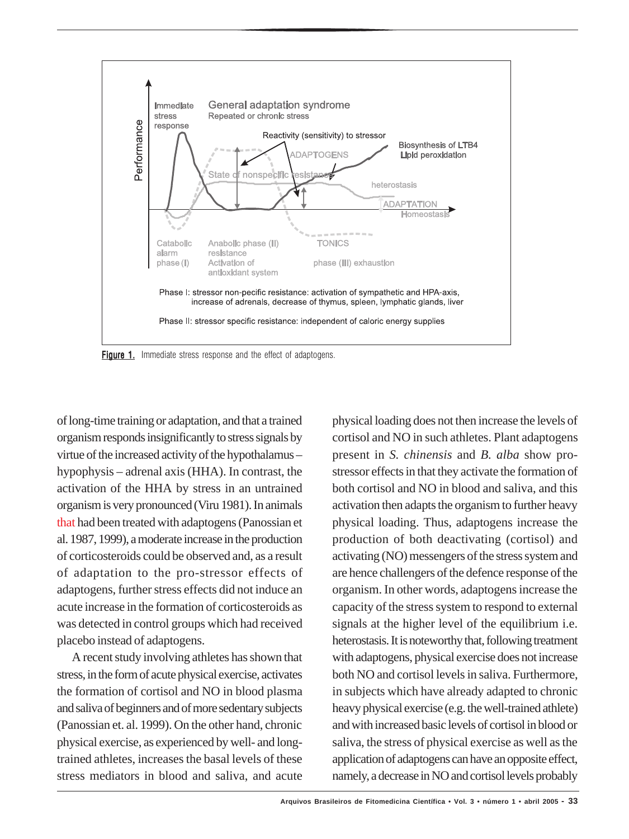

**Figure 1.** Immediate stress response and the effect of adaptogens.

of long-time training or adaptation, and that a trained organism responds insignificantly to stress signals by virtue of the increased activity of the hypothalamus – hypophysis – adrenal axis (HHA). In contrast, the activation of the HHA by stress in an untrained organism is very pronounced (Viru 1981). In animals that had been treated with adaptogens (Panossian et al. 1987, 1999), a moderate increase in the production of corticosteroids could be observed and, as a result of adaptation to the pro-stressor effects of adaptogens, further stress effects did not induce an acute increase in the formation of corticosteroids as was detected in control groups which had received placebo instead of adaptogens.

A recent study involving athletes has shown that stress, in the form of acute physical exercise, activates the formation of cortisol and NO in blood plasma and saliva of beginners and of more sedentary subjects (Panossian et. al. 1999). On the other hand, chronic physical exercise, as experienced by well- and longtrained athletes, increases the basal levels of these stress mediators in blood and saliva, and acute physical loading does not then increase the levels of cortisol and NO in such athletes. Plant adaptogens present in *S. chinensis* and *B. alba* show prostressor effects in that they activate the formation of both cortisol and NO in blood and saliva, and this activation then adapts the organism to further heavy physical loading. Thus, adaptogens increase the production of both deactivating (cortisol) and activating (NO) messengers of the stress system and are hence challengers of the defence response of the organism. In other words, adaptogens increase the capacity of the stress system to respond to external signals at the higher level of the equilibrium i.e. heterostasis. It is noteworthy that, following treatment with adaptogens, physical exercise does not increase both NO and cortisol levels in saliva. Furthermore, in subjects which have already adapted to chronic heavy physical exercise (e.g. the well-trained athlete) and with increased basic levels of cortisol in blood or saliva, the stress of physical exercise as well as the application of adaptogens can have an opposite effect, namely, a decrease in NO and cortisol levels probably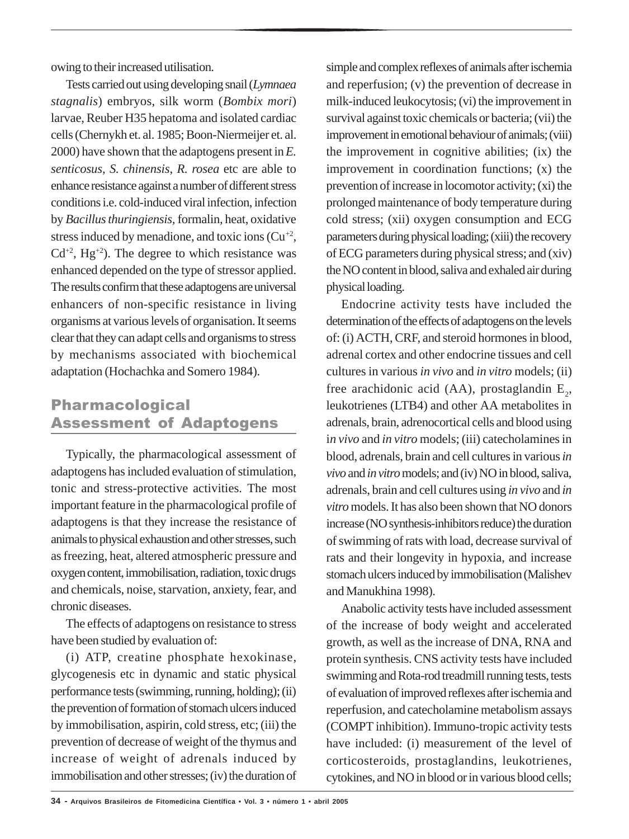owing to their increased utilisation.

Tests carried out using developing snail (*Lymnaea stagnalis*) embryos, silk worm (*Bombix mori*) larvae, Reuber H35 hepatoma and isolated cardiac cells (Chernykh et. al. 1985; Boon-Niermeijer et. al. 2000) have shown that the adaptogens present in *E. senticosus, S. chinensis*, *R. rosea* etc are able to enhance resistance against a number of different stress conditions i.e. cold-induced viral infection, infection by *Bacillus thuringiensis,* formalin, heat, oxidative stress induced by menadione, and toxic ions  $(Cu^{2})$ ,  $Cd^{+2}$ , Hg<sup>+2</sup>). The degree to which resistance was enhanced depended on the type of stressor applied. The results confirm that these adaptogens are universal enhancers of non-specific resistance in living organisms at various levels of organisation. It seems clear that they can adapt cells and organisms to stress by mechanisms associated with biochemical adaptation (Hochachka and Somero 1984).

## Pharmacological Assessment of Adaptogens

Typically, the pharmacological assessment of adaptogens has included evaluation of stimulation, tonic and stress-protective activities*.* The most important feature in the pharmacological profile of adaptogens is that they increase the resistance of animals to physical exhaustion and other stresses, such as freezing, heat, altered atmospheric pressure and oxygen content, immobilisation, radiation, toxic drugs and chemicals, noise, starvation, anxiety, fear, and chronic diseases.

The effects of adaptogens on resistance to stress have been studied by evaluation of:

(i) ATP, creatine phosphate hexokinase, glycogenesis etc in dynamic and static physical performance tests (swimming, running, holding); (ii) the prevention of formation of stomach ulcers induced by immobilisation, aspirin, cold stress, etc; (iii) the prevention of decrease of weight of the thymus and increase of weight of adrenals induced by immobilisation and other stresses; (iv) the duration of simple and complex reflexes of animals after ischemia and reperfusion; (v) the prevention of decrease in milk-induced leukocytosis; (vi) the improvement in survival against toxic chemicals or bacteria; (vii) the improvement in emotional behaviour of animals; (viii) the improvement in cognitive abilities; (ix) the improvement in coordination functions; (x) the prevention of increase in locomotor activity; (xi) the prolonged maintenance of body temperature during cold stress; (xii) oxygen consumption and ECG parameters during physical loading; (xiii) the recovery of ECG parameters during physical stress; and (xiv) the NO content in blood, saliva and exhaled air during physical loading.

Endocrine activity tests have included the determination of the effects of adaptogens on the levels of: (i) ACTH, CRF, and steroid hormones in blood, adrenal cortex and other endocrine tissues and cell cultures in various *in vivo* and *in vitro* models; (ii) free arachidonic acid (AA), prostaglandin  $E_2$ , leukotrienes (LTB4) and other AA metabolites in adrenals, brain, adrenocortical cells and blood using i*n vivo* and *in vitro* models; (iii) catecholamines in blood, adrenals, brain and cell cultures in various *in vivo* and *in vitro* models; and (iv) NO in blood, saliva, adrenals, brain and cell cultures using *in vivo* and *in vitro* models. It has also been shown that NO donors increase (NO synthesis-inhibitors reduce) the duration of swimming of rats with load, decrease survival of rats and their longevity in hypoxia, and increase stomach ulcers induced by immobilisation (Malishev and Manukhina 1998).

Anabolic activity tests have included assessment of the increase of body weight and accelerated growth, as well as the increase of DNA, RNA and protein synthesis. CNS activity tests have included swimming and Rota-rod treadmill running tests, tests of evaluation of improved reflexes after ischemia and reperfusion, and catecholamine metabolism assays (COMPT inhibition). Immuno-tropic activity tests have included: (i) measurement of the level of corticosteroids, prostaglandins, leukotrienes, cytokines, and NO in blood or in various blood cells;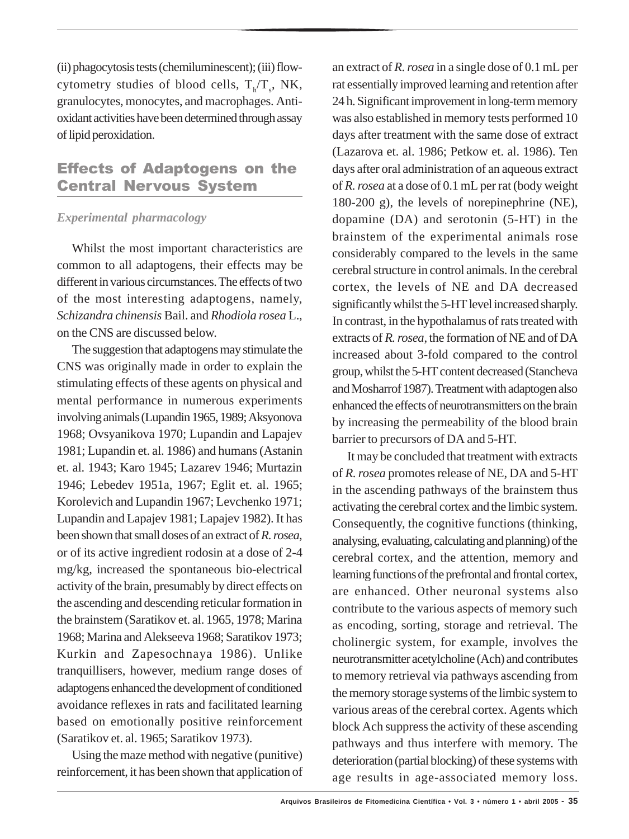(ii) phagocytosis tests (chemiluminescent); (iii) flowcytometry studies of blood cells,  $T_h/T_s$ , NK, granulocytes, monocytes, and macrophages. Antioxidant activities have been determined through assay of lipid peroxidation.

## Effects of Adaptogens on the Central Nervous System

### *Experimental pharmacology*

Whilst the most important characteristics are common to all adaptogens, their effects may be different in various circumstances. The effects of two of the most interesting adaptogens, namely, *Schizandra chinensis* Bail. and *Rhodiola rosea* L., on the CNS are discussed below.

The suggestion that adaptogens may stimulate the CNS was originally made in order to explain the stimulating effects of these agents on physical and mental performance in numerous experiments involving animals (Lupandin 1965, 1989; Aksyonova 1968; Ovsyanikova 1970; Lupandin and Lapajev 1981; Lupandin et. al. 1986) and humans (Astanin et. al. 1943; Karo 1945; Lazarev 1946; Murtazin 1946; Lebedev 1951a, 1967; Eglit et. al. 1965; Korolevich and Lupandin 1967; Levchenko 1971; Lupandin and Lapajev 1981; Lapajev 1982). It has been shown that small doses of an extract of *R. rosea*, or of its active ingredient rodosin at a dose of 2-4 mg/kg, increased the spontaneous bio-electrical activity of the brain, presumably by direct effects on the ascending and descending reticular formation in the brainstem (Saratikov et. al. 1965, 1978; Marina 1968; Marina and Alekseeva 1968; Saratikov 1973; Kurkin and Zapesochnaya 1986). Unlike tranquillisers, however, medium range doses of adaptogens enhanced the development of conditioned avoidance reflexes in rats and facilitated learning based on emotionally positive reinforcement (Saratikov et. al. 1965; Saratikov 1973).

Using the maze method with negative (punitive) reinforcement, it has been shown that application of an extract of *R. rosea* in a single dose of 0.1 mL per rat essentially improved learning and retention after 24 h. Significant improvement in long-term memory was also established in memory tests performed 10 days after treatment with the same dose of extract (Lazarova et. al. 1986; Petkow et. al. 1986). Ten days after oral administration of an aqueous extract of *R. rosea* at a dose of 0.1 mL per rat (body weight 180-200 g), the levels of norepinephrine (NE), dopamine (DA) and serotonin (5-HT) in the brainstem of the experimental animals rose considerably compared to the levels in the same cerebral structure in control animals. In the cerebral cortex, the levels of NE and DA decreased significantly whilst the 5-HT level increased sharply. In contrast, in the hypothalamus of rats treated with extracts of *R. rosea*, the formation of NE and of DA increased about 3-fold compared to the control group, whilst the 5-HT content decreased (Stancheva and Mosharrof 1987). Treatment with adaptogen also enhanced the effects of neurotransmitters on the brain by increasing the permeability of the blood brain barrier to precursors of DA and 5-HT.

It may be concluded that treatment with extracts of *R. rosea* promotes release of NE, DA and 5-HT in the ascending pathways of the brainstem thus activating the cerebral cortex and the limbic system. Consequently, the cognitive functions (thinking, analysing, evaluating, calculating and planning) of the cerebral cortex, and the attention, memory and learning functions of the prefrontal and frontal cortex, are enhanced. Other neuronal systems also contribute to the various aspects of memory such as encoding, sorting, storage and retrieval. The cholinergic system, for example, involves the neurotransmitter acetylcholine (Ach) and contributes to memory retrieval via pathways ascending from the memory storage systems of the limbic system to various areas of the cerebral cortex. Agents which block Ach suppress the activity of these ascending pathways and thus interfere with memory. The deterioration (partial blocking) of these systems with age results in age-associated memory loss.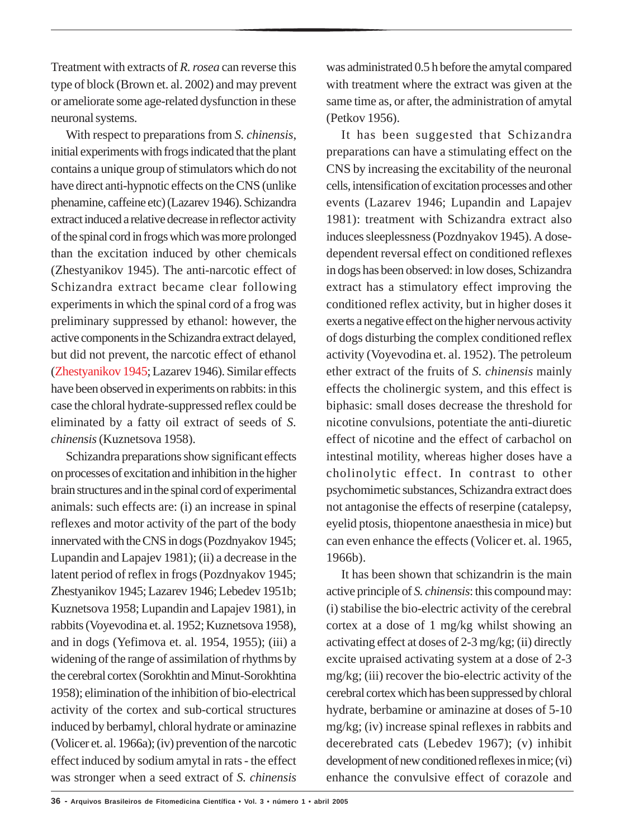Treatment with extracts of *R. rosea* can reverse this type of block (Brown et. al. 2002) and may prevent or ameliorate some age-related dysfunction in these neuronal systems.

With respect to preparations from *S. chinensis*, initial experiments with frogs indicated that the plant contains a unique group of stimulators which do not have direct anti-hypnotic effects on the CNS (unlike phenamine, caffeine etc) (Lazarev 1946). Schizandra extract induced a relative decrease in reflector activity of the spinal cord in frogs which was more prolonged than the excitation induced by other chemicals (Zhestyanikov 1945). The anti-narcotic effect of Schizandra extract became clear following experiments in which the spinal cord of a frog was preliminary suppressed by ethanol: however, the active components in the Schizandra extract delayed, but did not prevent, the narcotic effect of ethanol (Zhestyanikov 1945; Lazarev 1946). Similar effects have been observed in experiments on rabbits: in this case the chloral hydrate-suppressed reflex could be eliminated by a fatty oil extract of seeds of *S. chinensis* (Kuznetsova 1958).

Schizandra preparations show significant effects on processes of excitation and inhibition in the higher brain structures and in the spinal cord of experimental animals: such effects are: (i) an increase in spinal reflexes and motor activity of the part of the body innervated with the CNS in dogs (Pozdnyakov 1945; Lupandin and Lapajev 1981); (ii) a decrease in the latent period of reflex in frogs (Pozdnyakov 1945; Zhestyanikov 1945; Lazarev 1946; Lebedev 1951b; Kuznetsova 1958; Lupandin and Lapajev 1981), in rabbits (Voyevodina et. al. 1952; Kuznetsova 1958), and in dogs (Yefimova et. al. 1954, 1955); (iii) a widening of the range of assimilation of rhythms by the cerebral cortex (Sorokhtin and Minut-Sorokhtina 1958); elimination of the inhibition of bio-electrical activity of the cortex and sub-cortical structures induced by berbamyl, chloral hydrate or aminazine (Volicer et. al. 1966a); (iv) prevention of the narcotic effect induced by sodium amytal in rats - the effect was stronger when a seed extract of *S. chinensis*

was administrated 0.5 h before the amytal compared with treatment where the extract was given at the same time as, or after, the administration of amytal (Petkov 1956).

It has been suggested that Schizandra preparations can have a stimulating effect on the CNS by increasing the excitability of the neuronal cells, intensification of excitation processes and other events (Lazarev 1946; Lupandin and Lapajev 1981): treatment with Schizandra extract also induces sleeplessness (Pozdnyakov 1945). A dosedependent reversal effect on conditioned reflexes in dogs has been observed: in low doses, Schizandra extract has a stimulatory effect improving the conditioned reflex activity, but in higher doses it exerts a negative effect on the higher nervous activity of dogs disturbing the complex conditioned reflex activity (Voyevodina et. al. 1952). The petroleum ether extract of the fruits of *S. chinensis* mainly effects the cholinergic system, and this effect is biphasic: small doses decrease the threshold for nicotine convulsions, potentiate the anti-diuretic effect of nicotine and the effect of carbachol on intestinal motility, whereas higher doses have a cholinolytic effect. In contrast to other psychomimetic substances, Schizandra extract does not antagonise the effects of reserpine (catalepsy, eyelid ptosis, thiopentone anaesthesia in mice) but can even enhance the effects (Volicer et. al. 1965, 1966b).

It has been shown that schizandrin is the main active principle of *S. chinensis*: this compound may: (i) stabilise the bio-electric activity of the cerebral cortex at a dose of 1 mg/kg whilst showing an activating effect at doses of 2-3 mg/kg; (ii) directly excite upraised activating system at a dose of 2-3 mg/kg; (iii) recover the bio-electric activity of the cerebral cortex which has been suppressed by chloral hydrate, berbamine or aminazine at doses of 5-10 mg/kg; (iv) increase spinal reflexes in rabbits and decerebrated cats (Lebedev 1967); (v) inhibit development of new conditioned reflexes in mice; (vi) enhance the convulsive effect of corazole and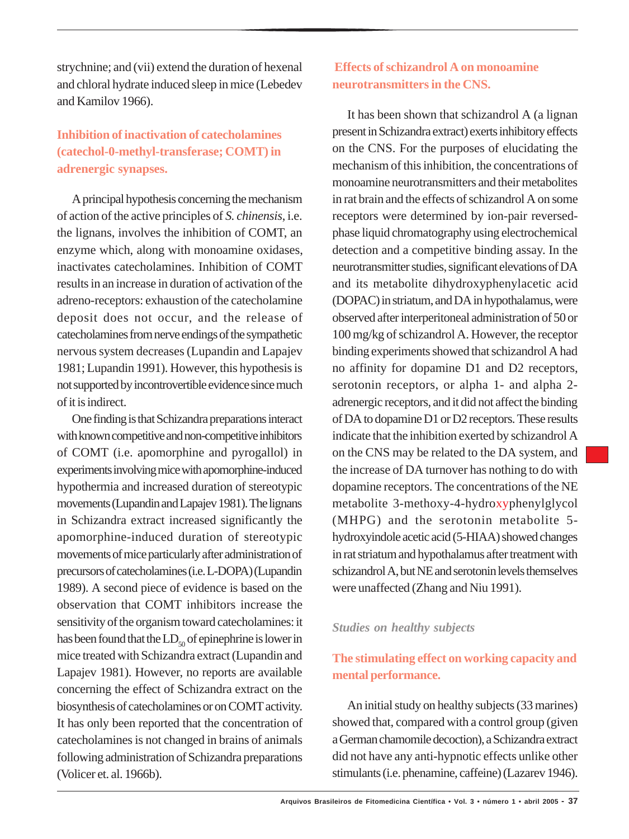strychnine; and (vii) extend the duration of hexenal and chloral hydrate induced sleep in mice (Lebedev and Kamilov 1966).

## **Inhibition of inactivation of catecholamines (catechol-0-methyl-transferase; COMT) in adrenergic synapses.**

A principal hypothesis concerning the mechanism of action of the active principles of *S. chinensis*, i.e. the lignans, involves the inhibition of COMT, an enzyme which, along with monoamine oxidases, inactivates catecholamines. Inhibition of COMT results in an increase in duration of activation of the adreno-receptors: exhaustion of the catecholamine deposit does not occur, and the release of catecholamines from nerve endings of the sympathetic nervous system decreases (Lupandin and Lapajev 1981; Lupandin 1991). However, this hypothesis is not supported by incontrovertible evidence since much of it is indirect.

One finding is that Schizandra preparations interact with known competitive and non-competitive inhibitors of COMT (i.e. apomorphine and pyrogallol) in experiments involving mice with apomorphine-induced hypothermia and increased duration of stereotypic movements (Lupandin and Lapajev 1981). The lignans in Schizandra extract increased significantly the apomorphine-induced duration of stereotypic movements of mice particularly after administration of precursors of catecholamines (i.e. L-DOPA) (Lupandin 1989). A second piece of evidence is based on the observation that COMT inhibitors increase the sensitivity of the organism toward catecholamines: it has been found that the  $LD_{50}$  of epinephrine is lower in mice treated with Schizandra extract (Lupandin and Lapajev 1981). However, no reports are available concerning the effect of Schizandra extract on the biosynthesis of catecholamines or on COMT activity. It has only been reported that the concentration of catecholamines is not changed in brains of animals following administration of Schizandra preparations (Volicer et. al. 1966b).

## **Effects of schizandrol A on monoamine neurotransmitters in the CNS.**

It has been shown that schizandrol A (a lignan present in Schizandra extract) exerts inhibitory effects on the CNS. For the purposes of elucidating the mechanism of this inhibition, the concentrations of monoamine neurotransmitters and their metabolites in rat brain and the effects of schizandrol A on some receptors were determined by ion-pair reversedphase liquid chromatography using electrochemical detection and a competitive binding assay. In the neurotransmitter studies, significant elevations of DA and its metabolite dihydroxyphenylacetic acid (DOPAC) in striatum, and DA in hypothalamus, were observed after interperitoneal administration of 50 or 100 mg/kg of schizandrol A. However, the receptor binding experiments showed that schizandrol A had no affinity for dopamine D1 and D2 receptors, serotonin receptors, or alpha 1- and alpha 2 adrenergic receptors, and it did not affect the binding of DA to dopamine D1 or D2 receptors. These results indicate that the inhibition exerted by schizandrol A on the CNS may be related to the DA system, and the increase of DA turnover has nothing to do with dopamine receptors. The concentrations of the NE metabolite 3-methoxy-4-hydroxyphenylglycol (MHPG) and the serotonin metabolite 5 hydroxyindole acetic acid (5-HIAA) showed changes in rat striatum and hypothalamus after treatment with schizandrol A, but NE and serotonin levels themselves were unaffected (Zhang and Niu 1991).

#### *Studies on healthy subjects*

## **The stimulating effect on working capacity and mental performance.**

An initial study on healthy subjects (33 marines) showed that, compared with a control group (given a German chamomile decoction), a Schizandra extract did not have any anti-hypnotic effects unlike other stimulants (i.e. phenamine, caffeine) (Lazarev 1946).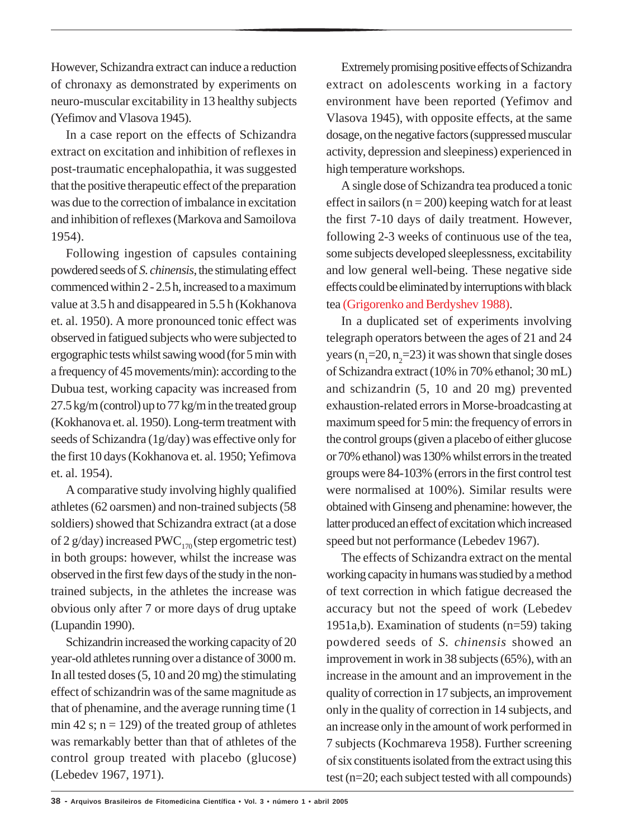However, Schizandra extract can induce a reduction of chronaxy as demonstrated by experiments on neuro-muscular excitability in 13 healthy subjects (Yefimov and Vlasova 1945).

In a case report on the effects of Schizandra extract on excitation and inhibition of reflexes in post-traumatic encephalopathia, it was suggested that the positive therapeutic effect of the preparation was due to the correction of imbalance in excitation and inhibition of reflexes (Markova and Samoilova 1954).

Following ingestion of capsules containing powdered seeds of *S. chinensis*, the stimulating effect commenced within 2 - 2.5 h, increased to a maximum value at 3.5 h and disappeared in 5.5 h (Kokhanova et. al. 1950). A more pronounced tonic effect was observed in fatigued subjects who were subjected to ergographic tests whilst sawing wood (for 5 min with a frequency of 45 movements/min): according to the Dubua test, working capacity was increased from 27.5 kg/m (control) up to 77 kg/m in the treated group (Kokhanova et. al. 1950). Long-term treatment with seeds of Schizandra (1g/day) was effective only for the first 10 days (Kokhanova et. al. 1950; Yefimova et. al. 1954).

A comparative study involving highly qualified athletes (62 oarsmen) and non-trained subjects (58 soldiers) showed that Schizandra extract (at a dose of 2 g/day) increased PWC<sub>170</sub> (step ergometric test) in both groups: however, whilst the increase was observed in the first few days of the study in the nontrained subjects, in the athletes the increase was obvious only after 7 or more days of drug uptake (Lupandin 1990).

Schizandrin increased the working capacity of 20 year-old athletes running over a distance of 3000 m. In all tested doses (5, 10 and 20 mg) the stimulating effect of schizandrin was of the same magnitude as that of phenamine, and the average running time (1 min 42 s;  $n = 129$ ) of the treated group of athletes was remarkably better than that of athletes of the control group treated with placebo (glucose) (Lebedev 1967, 1971).

Extremely promising positive effects of Schizandra extract on adolescents working in a factory environment have been reported (Yefimov and Vlasova 1945), with opposite effects, at the same dosage, on the negative factors (suppressed muscular activity, depression and sleepiness) experienced in high temperature workshops.

A single dose of Schizandra tea produced a tonic effect in sailors ( $n = 200$ ) keeping watch for at least the first 7-10 days of daily treatment. However, following 2-3 weeks of continuous use of the tea, some subjects developed sleeplessness, excitability and low general well-being. These negative side effects could be eliminated by interruptions with black tea (Grigorenko and Berdyshev 1988).

In a duplicated set of experiments involving telegraph operators between the ages of 21 and 24 years  $(n_1=20, n_2=23)$  it was shown that single doses of Schizandra extract (10% in 70% ethanol; 30 mL) and schizandrin (5, 10 and 20 mg) prevented exhaustion-related errors in Morse-broadcasting at maximum speed for 5 min: the frequency of errors in the control groups (given a placebo of either glucose or 70% ethanol) was 130% whilst errors in the treated groups were 84-103% (errors in the first control test were normalised at 100%). Similar results were obtained with Ginseng and phenamine: however, the latter produced an effect of excitation which increased speed but not performance (Lebedev 1967).

The effects of Schizandra extract on the mental working capacity in humans was studied by a method of text correction in which fatigue decreased the accuracy but not the speed of work (Lebedev 1951a,b). Examination of students (n=59) taking powdered seeds of *S. chinensis* showed an improvement in work in 38 subjects (65%), with an increase in the amount and an improvement in the quality of correction in 17 subjects, an improvement only in the quality of correction in 14 subjects, and an increase only in the amount of work performed in 7 subjects (Kochmareva 1958). Further screening of six constituents isolated from the extract using this test (n=20; each subject tested with all compounds)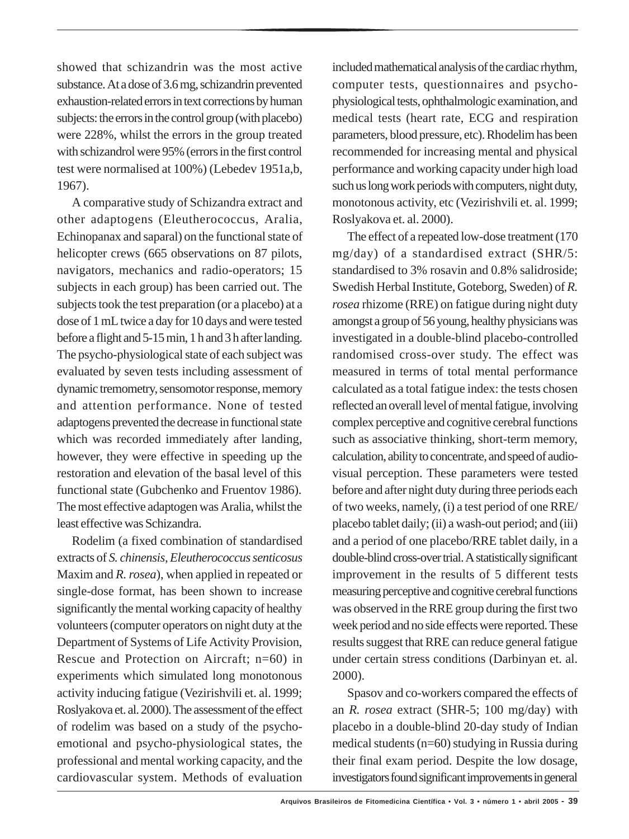showed that schizandrin was the most active substance. At a dose of 3.6 mg, schizandrin prevented exhaustion-related errors in text corrections by human subjects: the errors in the control group (with placebo) were 228%, whilst the errors in the group treated with schizandrol were 95% (errors in the first control test were normalised at 100%) (Lebedev 1951a,b, 1967).

A comparative study of Schizandra extract and other adaptogens (Eleutherococcus, Aralia, Echinopanax and saparal) on the functional state of helicopter crews (665 observations on 87 pilots, navigators, mechanics and radio-operators; 15 subjects in each group) has been carried out. The subjects took the test preparation (or a placebo) at a dose of 1 mL twice a day for 10 days and were tested before a flight and 5-15 min, 1 h and 3 h after landing. The psycho-physiological state of each subject was evaluated by seven tests including assessment of dynamic tremometry, sensomotor response, memory and attention performance. None of tested adaptogens prevented the decrease in functional state which was recorded immediately after landing, however, they were effective in speeding up the restoration and elevation of the basal level of this functional state (Gubchenko and Fruentov 1986). The most effective adaptogen was Aralia, whilst the least effective was Schizandra.

Rodelim (a fixed combination of standardised extracts of *S. chinensis, Eleutherococcus senticosus* Maxim and *R. rosea*), when applied in repeated or single-dose format, has been shown to increase significantly the mental working capacity of healthy volunteers (computer operators on night duty at the Department of Systems of Life Activity Provision, Rescue and Protection on Aircraft; n=60) in experiments which simulated long monotonous activity inducing fatigue (Vezirishvili et. al. 1999; Roslyakova et. al. 2000). The assessment of the effect of rodelim was based on a study of the psychoemotional and psycho-physiological states, the professional and mental working capacity, and the cardiovascular system. Methods of evaluation

included mathematical analysis of the cardiac rhythm, computer tests, questionnaires and psychophysiological tests, ophthalmologic examination, and medical tests (heart rate, ECG and respiration parameters, blood pressure, etc). Rhodelim has been recommended for increasing mental and physical performance and working capacity under high load such us long work periods with computers, night duty, monotonous activity, etc (Vezirishvili et. al. 1999; Roslyakova et. al. 2000).

The effect of a repeated low-dose treatment (170 mg/day) of a standardised extract (SHR/5: standardised to 3% rosavin and 0.8% salidroside; Swedish Herbal Institute, Goteborg, Sweden) of *R. rosea* rhizome (RRE) on fatigue during night duty amongst a group of 56 young, healthy physicians was investigated in a double-blind placebo-controlled randomised cross-over study. The effect was measured in terms of total mental performance calculated as a total fatigue index: the tests chosen reflected an overall level of mental fatigue, involving complex perceptive and cognitive cerebral functions such as associative thinking, short-term memory, calculation, ability to concentrate, and speed of audiovisual perception. These parameters were tested before and after night duty during three periods each of two weeks, namely, (i) a test period of one RRE/ placebo tablet daily; (ii) a wash-out period; and (iii) and a period of one placebo/RRE tablet daily, in a double-blind cross-over trial. A statistically significant improvement in the results of 5 different tests measuring perceptive and cognitive cerebral functions was observed in the RRE group during the first two week period and no side effects were reported. These results suggest that RRE can reduce general fatigue under certain stress conditions (Darbinyan et. al. 2000).

Spasov and co-workers compared the effects of an *R. rosea* extract (SHR-5; 100 mg/day) with placebo in a double-blind 20-day study of Indian medical students (n=60) studying in Russia during their final exam period. Despite the low dosage, investigators found significant improvements in general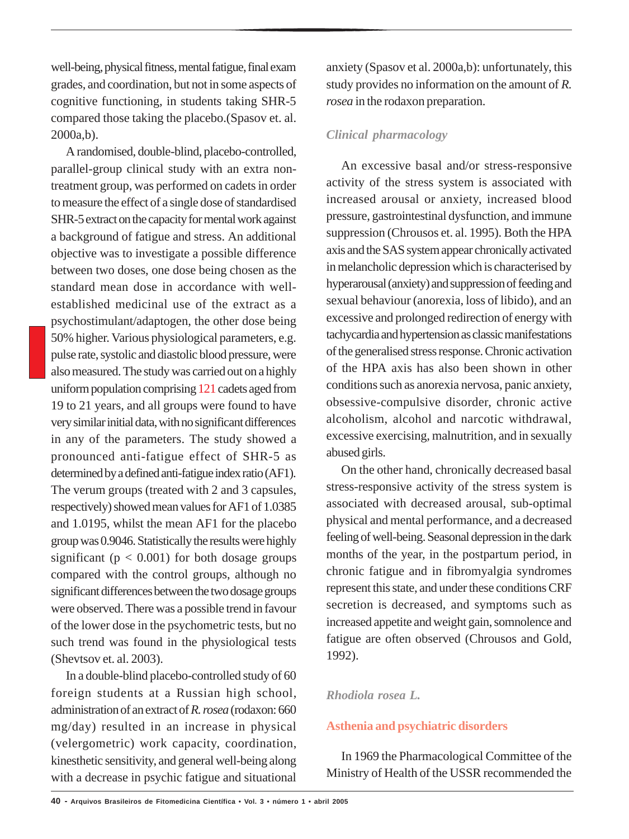well-being, physical fitness, mental fatigue, final exam grades, and coordination, but not in some aspects of cognitive functioning, in students taking SHR-5 compared those taking the placebo.(Spasov et. al. 2000a,b).

A randomised, double-blind, placebo-controlled, parallel-group clinical study with an extra nontreatment group, was performed on cadets in order to measure the effect of a single dose of standardised SHR-5 extract on the capacity for mental work against a background of fatigue and stress. An additional objective was to investigate a possible difference between two doses, one dose being chosen as the standard mean dose in accordance with wellestablished medicinal use of the extract as a psychostimulant/adaptogen, the other dose being 50% higher. Various physiological parameters, e.g. pulse rate, systolic and diastolic blood pressure, were also measured. The study was carried out on a highly uniform population comprising 121 cadets aged from 19 to 21 years, and all groups were found to have very similar initial data, with no significant differences in any of the parameters. The study showed a pronounced anti-fatigue effect of SHR-5 as determined by a defined anti-fatigue index ratio (AF1). The verum groups (treated with 2 and 3 capsules, respectively) showed mean values for AF1 of 1.0385 and 1.0195, whilst the mean AF1 for the placebo group was 0.9046. Statistically the results were highly significant ( $p < 0.001$ ) for both dosage groups compared with the control groups, although no significant differences between the two dosage groups were observed. There was a possible trend in favour of the lower dose in the psychometric tests, but no such trend was found in the physiological tests (Shevtsov et. al. 2003).

In a double-blind placebo-controlled study of 60 foreign students at a Russian high school, administration of an extract of *R. rosea* (rodaxon: 660 mg/day) resulted in an increase in physical (velergometric) work capacity, coordination, kinesthetic sensitivity, and general well-being along with a decrease in psychic fatigue and situational anxiety (Spasov et al. 2000a,b): unfortunately, this study provides no information on the amount of *R. rosea* in the rodaxon preparation.

#### *Clinical pharmacology*

An excessive basal and/or stress-responsive activity of the stress system is associated with increased arousal or anxiety, increased blood pressure, gastrointestinal dysfunction, and immune suppression (Chrousos et. al. 1995). Both the HPA axis and the SAS system appear chronically activated in melancholic depression which is characterised by hyperarousal (anxiety) and suppression of feeding and sexual behaviour (anorexia, loss of libido), and an excessive and prolonged redirection of energy with tachycardia and hypertension as classic manifestations of the generalised stress response. Chronic activation of the HPA axis has also been shown in other conditions such as anorexia nervosa, panic anxiety, obsessive-compulsive disorder, chronic active alcoholism, alcohol and narcotic withdrawal, excessive exercising, malnutrition, and in sexually abused girls.

On the other hand, chronically decreased basal stress-responsive activity of the stress system is associated with decreased arousal, sub-optimal physical and mental performance, and a decreased feeling of well-being. Seasonal depression in the dark months of the year, in the postpartum period, in chronic fatigue and in fibromyalgia syndromes represent this state, and under these conditions CRF secretion is decreased, and symptoms such as increased appetite and weight gain, somnolence and fatigue are often observed (Chrousos and Gold, 1992).

#### *Rhodiola rosea L.*

#### **Asthenia and psychiatric disorders**

In 1969 the Pharmacological Committee of the Ministry of Health of the USSR recommended the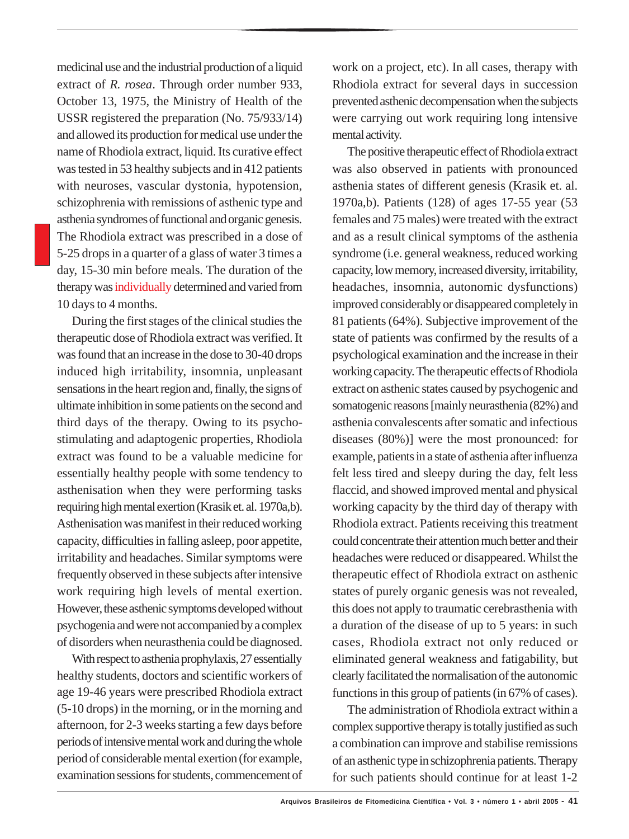medicinal use and the industrial production of a liquid extract of *R. rosea*. Through order number 933, October 13, 1975, the Ministry of Health of the USSR registered the preparation (No. 75/933/14) and allowed its production for medical use under the name of Rhodiola extract, liquid. Its curative effect was tested in 53 healthy subjects and in 412 patients with neuroses, vascular dystonia, hypotension, schizophrenia with remissions of asthenic type and asthenia syndromes of functional and organic genesis. The Rhodiola extract was prescribed in a dose of 5-25 drops in a quarter of a glass of water 3 times a day, 15-30 min before meals. The duration of the therapy was individually determined and varied from 10 days to 4 months.

During the first stages of the clinical studies the therapeutic dose of Rhodiola extract was verified. It was found that an increase in the dose to 30-40 drops induced high irritability, insomnia, unpleasant sensations in the heart region and, finally, the signs of ultimate inhibition in some patients on the second and third days of the therapy. Owing to its psychostimulating and adaptogenic properties, Rhodiola extract was found to be a valuable medicine for essentially healthy people with some tendency to asthenisation when they were performing tasks requiring high mental exertion (Krasik et. al. 1970a,b). Asthenisation was manifest in their reduced working capacity, difficulties in falling asleep, poor appetite, irritability and headaches. Similar symptoms were frequently observed in these subjects after intensive work requiring high levels of mental exertion. However, these asthenic symptoms developed without psychogenia and were not accompanied by a complex of disorders when neurasthenia could be diagnosed.

With respect to asthenia prophylaxis, 27 essentially healthy students, doctors and scientific workers of age 19-46 years were prescribed Rhodiola extract (5-10 drops) in the morning, or in the morning and afternoon, for 2-3 weeks starting a few days before periods of intensive mental work and during the whole period of considerable mental exertion (for example, examination sessions for students, commencement of

work on a project, etc). In all cases, therapy with Rhodiola extract for several days in succession prevented asthenic decompensation when the subjects were carrying out work requiring long intensive mental activity.

The positive therapeutic effect of Rhodiola extract was also observed in patients with pronounced asthenia states of different genesis (Krasik et. al. 1970a,b). Patients (128) of ages 17-55 year (53 females and 75 males) were treated with the extract and as a result clinical symptoms of the asthenia syndrome (i.e. general weakness, reduced working capacity, low memory, increased diversity, irritability, headaches, insomnia, autonomic dysfunctions) improved considerably or disappeared completely in 81 patients (64%). Subjective improvement of the state of patients was confirmed by the results of a psychological examination and the increase in their working capacity. The therapeutic effects of Rhodiola extract on asthenic states caused by psychogenic and somatogenic reasons [mainly neurasthenia (82%) and asthenia convalescents after somatic and infectious diseases (80%)] were the most pronounced: for example, patients in a state of asthenia after influenza felt less tired and sleepy during the day, felt less flaccid, and showed improved mental and physical working capacity by the third day of therapy with Rhodiola extract. Patients receiving this treatment could concentrate their attention much better and their headaches were reduced or disappeared. Whilst the therapeutic effect of Rhodiola extract on asthenic states of purely organic genesis was not revealed, this does not apply to traumatic cerebrasthenia with a duration of the disease of up to 5 years: in such cases, Rhodiola extract not only reduced or eliminated general weakness and fatigability, but clearly facilitated the normalisation of the autonomic functions in this group of patients (in 67% of cases).

The administration of Rhodiola extract within a complex supportive therapy is totally justified as such a combination can improve and stabilise remissions of an asthenic type in schizophrenia patients. Therapy for such patients should continue for at least 1-2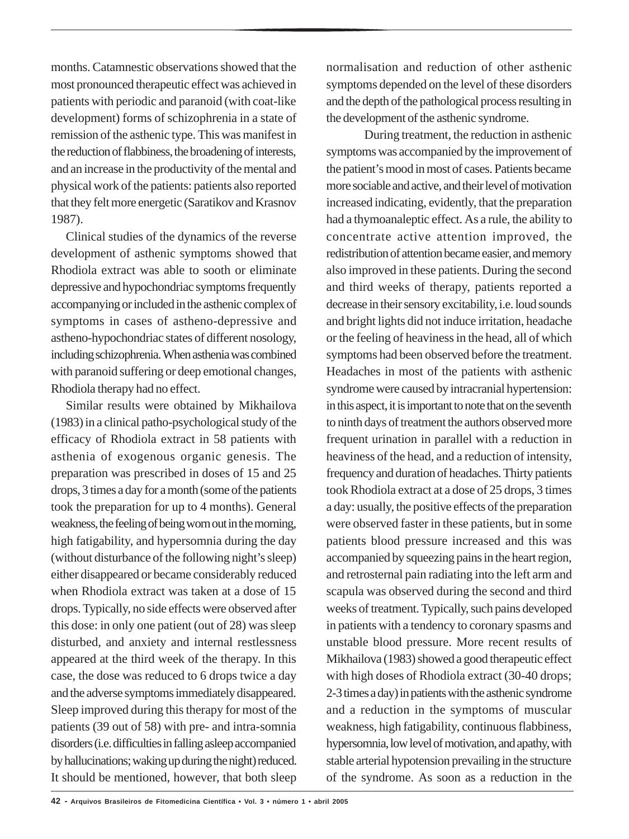months. Catamnestic observations showed that the most pronounced therapeutic effect was achieved in patients with periodic and paranoid (with coat-like development) forms of schizophrenia in a state of remission of the asthenic type. This was manifest in the reduction of flabbiness, the broadening of interests, and an increase in the productivity of the mental and physical work of the patients: patients also reported that they felt more energetic (Saratikov and Krasnov 1987).

Clinical studies of the dynamics of the reverse development of asthenic symptoms showed that Rhodiola extract was able to sooth or eliminate depressive and hypochondriac symptoms frequently accompanying or included in the asthenic complex of symptoms in cases of astheno-depressive and astheno-hypochondriac states of different nosology, including schizophrenia. When asthenia was combined with paranoid suffering or deep emotional changes, Rhodiola therapy had no effect.

Similar results were obtained by Mikhailova (1983) in a clinical patho-psychological study of the efficacy of Rhodiola extract in 58 patients with asthenia of exogenous organic genesis. The preparation was prescribed in doses of 15 and 25 drops, 3 times a day for a month (some of the patients took the preparation for up to 4 months). General weakness, the feeling of being worn out in the morning, high fatigability, and hypersomnia during the day (without disturbance of the following night's sleep) either disappeared or became considerably reduced when Rhodiola extract was taken at a dose of 15 drops. Typically, no side effects were observed after this dose: in only one patient (out of 28) was sleep disturbed, and anxiety and internal restlessness appeared at the third week of the therapy. In this case, the dose was reduced to 6 drops twice a day and the adverse symptoms immediately disappeared. Sleep improved during this therapy for most of the patients (39 out of 58) with pre- and intra-somnia disorders (i.e. difficulties in falling asleep accompanied by hallucinations; waking up during the night) reduced. It should be mentioned, however, that both sleep

normalisation and reduction of other asthenic symptoms depended on the level of these disorders and the depth of the pathological process resulting in the development of the asthenic syndrome.

During treatment, the reduction in asthenic symptoms was accompanied by the improvement of the patient's mood in most of cases. Patients became more sociable and active, and their level of motivation increased indicating, evidently, that the preparation had a thymoanaleptic effect. As a rule, the ability to concentrate active attention improved, the redistribution of attention became easier, and memory also improved in these patients. During the second and third weeks of therapy, patients reported a decrease in their sensory excitability, i.e. loud sounds and bright lights did not induce irritation, headache or the feeling of heaviness in the head, all of which symptoms had been observed before the treatment. Headaches in most of the patients with asthenic syndrome were caused by intracranial hypertension: in this aspect, it is important to note that on the seventh to ninth days of treatment the authors observed more frequent urination in parallel with a reduction in heaviness of the head, and a reduction of intensity, frequency and duration of headaches. Thirty patients took Rhodiola extract at a dose of 25 drops, 3 times a day: usually, the positive effects of the preparation were observed faster in these patients, but in some patients blood pressure increased and this was accompanied by squeezing pains in the heart region, and retrosternal pain radiating into the left arm and scapula was observed during the second and third weeks of treatment. Typically, such pains developed in patients with a tendency to coronary spasms and unstable blood pressure. More recent results of Mikhailova (1983) showed a good therapeutic effect with high doses of Rhodiola extract (30-40 drops; 2-3 times a day) in patients with the asthenic syndrome and a reduction in the symptoms of muscular weakness, high fatigability, continuous flabbiness, hypersomnia, low level of motivation, and apathy, with stable arterial hypotension prevailing in the structure of the syndrome. As soon as a reduction in the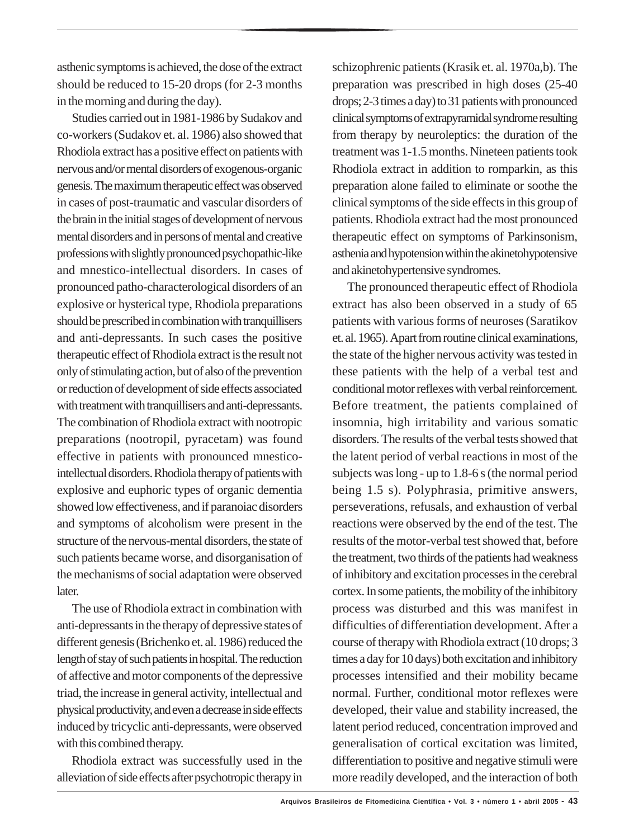asthenic symptoms is achieved, the dose of the extract should be reduced to 15-20 drops (for 2-3 months in the morning and during the day).

Studies carried out in 1981-1986 by Sudakov and co-workers (Sudakov et. al. 1986) also showed that Rhodiola extract has a positive effect on patients with nervous and/or mental disorders of exogenous-organic genesis. The maximum therapeutic effect was observed in cases of post-traumatic and vascular disorders of the brain in the initial stages of development of nervous mental disorders and in persons of mental and creative professions with slightly pronounced psychopathic-like and mnestico-intellectual disorders. In cases of pronounced patho-characterological disorders of an explosive or hysterical type, Rhodiola preparations should be prescribed in combination with tranquillisers and anti-depressants. In such cases the positive therapeutic effect of Rhodiola extract is the result not only of stimulating action, but of also of the prevention or reduction of development of side effects associated with treatment with tranquillisers and anti-depressants. The combination of Rhodiola extract with nootropic preparations (nootropil, pyracetam) was found effective in patients with pronounced mnesticointellectual disorders. Rhodiolatherapy of patients with explosive and euphoric types of organic dementia showed low effectiveness, and if paranoiac disorders and symptoms of alcoholism were present in the structure of the nervous-mental disorders, the state of such patients became worse, and disorganisation of the mechanisms of social adaptation were observed later.

The use of Rhodiola extract in combination with anti-depressants in the therapy of depressive states of different genesis (Brichenko et. al. 1986) reduced the length of stay of such patients in hospital. The reduction of affective and motor components of the depressive triad, the increase in general activity, intellectual and physical productivity, and even a decrease in side effects induced by tricyclic anti-depressants, were observed with this combined therapy.

Rhodiola extract was successfully used in the alleviation of side effects after psychotropic therapy in schizophrenic patients (Krasik et. al. 1970a,b). The preparation was prescribed in high doses (25-40 drops; 2-3 times a day) to 31 patients with pronounced clinical symptoms of extrapyramidal syndrome resulting from therapy by neuroleptics: the duration of the treatment was 1-1.5 months. Nineteen patients took Rhodiola extract in addition to romparkin, as this preparation alone failed to eliminate or soothe the clinical symptoms of the side effects in this group of patients. Rhodiola extract had the most pronounced therapeutic effect on symptoms of Parkinsonism, asthenia and hypotension within the akinetohypotensive and akinetohypertensive syndromes.

The pronounced therapeutic effect of Rhodiola extract has also been observed in a study of 65 patients with various forms of neuroses (Saratikov et. al. 1965). Apart from routine clinical examinations, the state of the higher nervous activity was tested in these patients with the help of a verbal test and conditional motor reflexes with verbal reinforcement. Before treatment, the patients complained of insomnia, high irritability and various somatic disorders. The results of the verbal tests showed that the latent period of verbal reactions in most of the subjects was long - up to 1.8-6 s (the normal period being 1.5 s). Polyphrasia, primitive answers, perseverations, refusals, and exhaustion of verbal reactions were observed by the end of the test. The results of the motor-verbal test showed that, before the treatment, two thirds of the patients had weakness of inhibitory and excitation processes in the cerebral cortex. In some patients, the mobility of the inhibitory process was disturbed and this was manifest in difficulties of differentiation development. After a course of therapy with Rhodiola extract (10 drops; 3 times a day for 10 days) both excitation and inhibitory processes intensified and their mobility became normal. Further, conditional motor reflexes were developed, their value and stability increased, the latent period reduced, concentration improved and generalisation of cortical excitation was limited, differentiation to positive and negative stimuli were more readily developed, and the interaction of both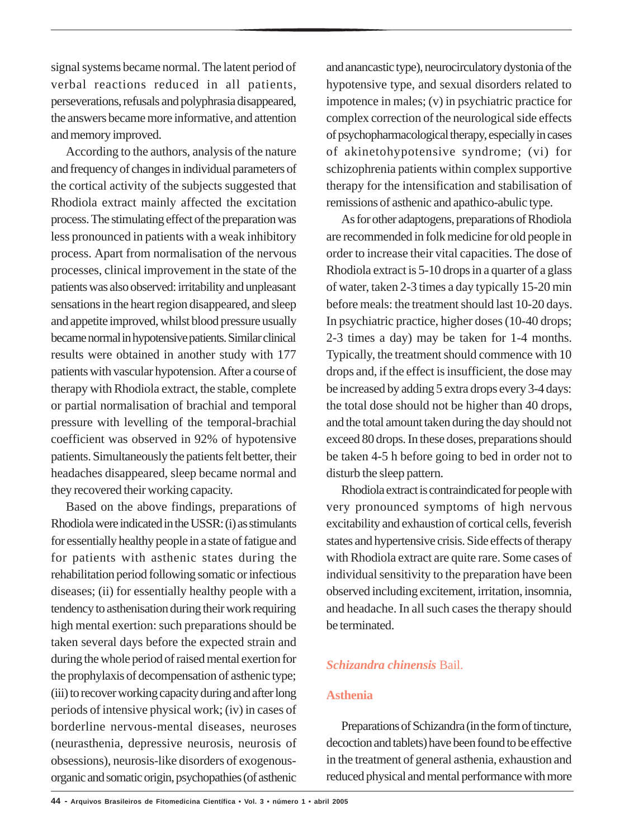signal systems became normal. The latent period of verbal reactions reduced in all patients, perseverations, refusals and polyphrasia disappeared, the answers became more informative, and attention and memory improved.

According to the authors, analysis of the nature and frequency of changes in individual parameters of the cortical activity of the subjects suggested that Rhodiola extract mainly affected the excitation process. The stimulating effect of the preparation was less pronounced in patients with a weak inhibitory process. Apart from normalisation of the nervous processes, clinical improvement in the state of the patients was also observed: irritability and unpleasant sensations in the heart region disappeared, and sleep and appetite improved, whilst blood pressure usually became normal in hypotensive patients. Similar clinical results were obtained in another study with 177 patients with vascular hypotension. After a course of therapy with Rhodiola extract, the stable, complete or partial normalisation of brachial and temporal pressure with levelling of the temporal-brachial coefficient was observed in 92% of hypotensive patients. Simultaneously the patients felt better, their headaches disappeared, sleep became normal and they recovered their working capacity.

Based on the above findings, preparations of Rhodiolawere indicated in the USSR: (i) as stimulants for essentially healthy people in a state of fatigue and for patients with asthenic states during the rehabilitation period following somatic or infectious diseases; (ii) for essentially healthy people with a tendency to asthenisation during their work requiring high mental exertion: such preparations should be taken several days before the expected strain and during the whole period of raised mental exertion for the prophylaxis of decompensation of asthenic type; (iii) to recover working capacity during and after long periods of intensive physical work; (iv) in cases of borderline nervous-mental diseases, neuroses (neurasthenia, depressive neurosis, neurosis of obsessions), neurosis-like disorders of exogenousorganic and somatic origin, psychopathies (of asthenic

and anancastic type), neurocirculatory dystonia of the hypotensive type, and sexual disorders related to impotence in males; (v) in psychiatric practice for complex correction of the neurological side effects of psychopharmacological therapy, especially in cases of akinetohypotensive syndrome; (vi) for schizophrenia patients within complex supportive therapy for the intensification and stabilisation of remissions of asthenic and apathico-abulic type.

As for other adaptogens, preparations of Rhodiola are recommended in folk medicine for old people in order to increase their vital capacities. The dose of Rhodiola extract is 5-10 drops in a quarter of a glass of water, taken 2-3 times a day typically 15-20 min before meals: the treatment should last 10-20 days. In psychiatric practice, higher doses (10-40 drops; 2-3 times a day) may be taken for 1-4 months. Typically, the treatment should commence with 10 drops and, if the effect is insufficient, the dose may be increased by adding 5 extra drops every 3-4 days: the total dose should not be higher than 40 drops, and the total amount taken during the day should not exceed 80 drops. In these doses, preparations should be taken 4-5 h before going to bed in order not to disturb the sleep pattern.

Rhodiola extract is contraindicated for people with very pronounced symptoms of high nervous excitability and exhaustion of cortical cells, feverish states and hypertensive crisis. Side effects of therapy with Rhodiola extract are quite rare. Some cases of individual sensitivity to the preparation have been observed including excitement, irritation, insomnia, and headache. In all such cases the therapy should be terminated.

#### *Schizandra chinensis* Bail.

#### **Asthenia**

Preparations of Schizandra (in the form of tincture, decoction and tablets) have been found to be effective in the treatment of general asthenia, exhaustion and reduced physical and mental performance with more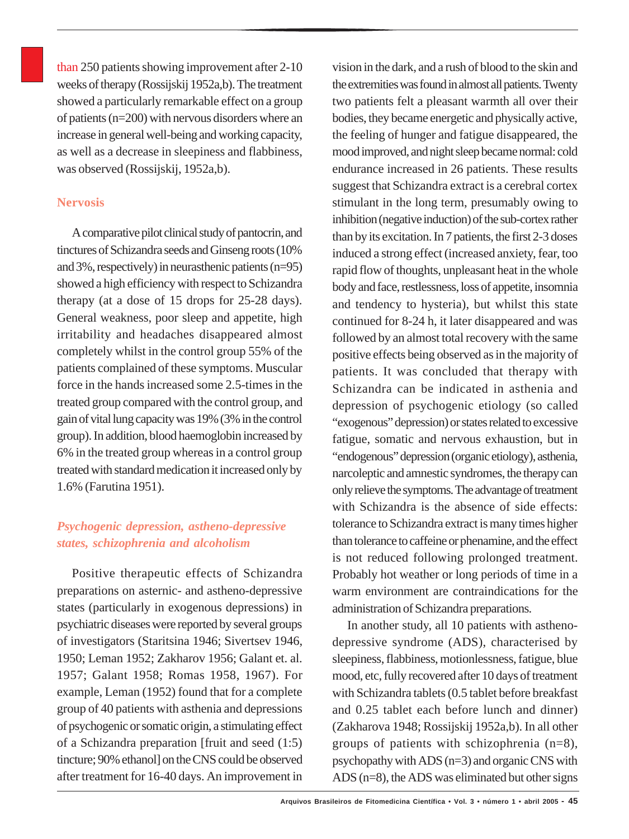than 250 patients showing improvement after 2-10 weeks of therapy (Rossijskij 1952a,b). The treatment showed a particularly remarkable effect on a group of patients (n=200) with nervous disorders where an increase in general well-being and working capacity, as well as a decrease in sleepiness and flabbiness, was observed (Rossijskij, 1952a,b).

#### **Nervosis**

A comparative pilot clinical study of pantocrin, and tinctures of Schizandra seeds and Ginseng roots (10% and 3%, respectively) in neurasthenic patients (n=95) showed a high efficiency with respect to Schizandra therapy (at a dose of 15 drops for 25-28 days). General weakness, poor sleep and appetite, high irritability and headaches disappeared almost completely whilst in the control group 55% of the patients complained of these symptoms. Muscular force in the hands increased some 2.5-times in the treated group compared with the control group, and gain of vital lung capacity was 19% (3% in the control group). In addition, blood haemoglobin increased by 6% in the treated group whereas in a control group treated with standard medication it increased only by 1.6% (Farutina 1951).

## *Psychogenic depression, astheno-depressive states, schizophrenia and alcoholism*

Positive therapeutic effects of Schizandra preparations on asternic- and astheno-depressive states (particularly in exogenous depressions) in psychiatric diseases were reported by several groups of investigators (Staritsina 1946; Sivertsev 1946, 1950; Leman 1952; Zakharov 1956; Galant et. al. 1957; Galant 1958; Romas 1958, 1967). For example, Leman (1952) found that for a complete group of 40 patients with asthenia and depressions of psychogenic or somatic origin, a stimulating effect of a Schizandra preparation [fruit and seed (1:5) tincture; 90% ethanol] on the CNS could be observed after treatment for 16-40 days. An improvement in

vision in the dark, and a rush of blood to the skin and the extremities was found in almost all patients. Twenty two patients felt a pleasant warmth all over their bodies, they became energetic and physically active, the feeling of hunger and fatigue disappeared, the mood improved, and night sleep became normal: cold endurance increased in 26 patients. These results suggest that Schizandra extract is a cerebral cortex stimulant in the long term, presumably owing to inhibition (negative induction) of the sub-cortex rather than by its excitation. In 7 patients, the first 2-3 doses induced a strong effect (increased anxiety, fear, too rapid flow of thoughts, unpleasant heat in the whole body and face, restlessness, loss of appetite, insomnia and tendency to hysteria), but whilst this state continued for 8-24 h, it later disappeared and was followed by an almost total recovery with the same positive effects being observed as in the majority of patients. It was concluded that therapy with Schizandra can be indicated in asthenia and depression of psychogenic etiology (so called "exogenous" depression) or states related to excessive fatigue, somatic and nervous exhaustion, but in "endogenous" depression (organic etiology), asthenia, narcoleptic and amnestic syndromes, the therapy can only relieve the symptoms. The advantage of treatment with Schizandra is the absence of side effects: tolerance to Schizandra extract is many times higher than tolerance to caffeine or phenamine, and the effect is not reduced following prolonged treatment. Probably hot weather or long periods of time in a warm environment are contraindications for the administration of Schizandra preparations.

In another study, all 10 patients with asthenodepressive syndrome (ADS), characterised by sleepiness, flabbiness, motionlessness, fatigue, blue mood, etc, fully recovered after 10 days of treatment with Schizandra tablets (0.5 tablet before breakfast and 0.25 tablet each before lunch and dinner) (Zakharova 1948; Rossijskij 1952a,b). In all other groups of patients with schizophrenia (n=8), psychopathy with ADS (n=3) and organic CNS with ADS (n=8), the ADS was eliminated but other signs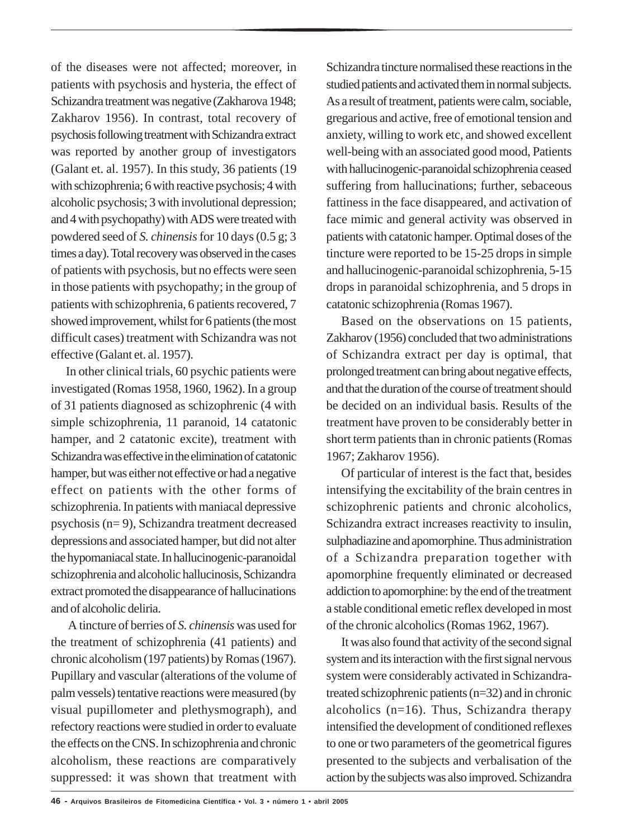of the diseases were not affected; moreover, in patients with psychosis and hysteria, the effect of Schizandra treatment was negative (Zakharova 1948; Zakharov 1956). In contrast, total recovery of psychosis following treatment with Schizandra extract was reported by another group of investigators (Galant et. al. 1957). In this study, 36 patients (19 with schizophrenia; 6 with reactive psychosis; 4 with alcoholic psychosis; 3 with involutional depression; and 4 with psychopathy) with ADS were treated with powdered seed of *S. chinensis* for 10 days (0.5 g; 3 times a day). Total recovery was observed in the cases of patients with psychosis, but no effects were seen in those patients with psychopathy; in the group of patients with schizophrenia, 6 patients recovered, 7 showed improvement, whilst for 6 patients (the most difficult cases) treatment with Schizandra was not effective (Galant et. al. 1957).

In other clinical trials, 60 psychic patients were investigated (Romas 1958, 1960, 1962). In a group of 31 patients diagnosed as schizophrenic (4 with simple schizophrenia, 11 paranoid, 14 catatonic hamper, and 2 catatonic excite), treatment with Schizandra was effective in the elimination of catatonic hamper, but was either not effective or had a negative effect on patients with the other forms of schizophrenia. In patients with maniacal depressive psychosis (n= 9), Schizandra treatment decreased depressions and associated hamper, but did not alter the hypomaniacal state. In hallucinogenic-paranoidal schizophrenia and alcoholic hallucinosis, Schizandra extract promoted the disappearance of hallucinations and of alcoholic deliria.

 A tincture of berries of *S. chinensis* was used for the treatment of schizophrenia (41 patients) and chronic alcoholism (197 patients) by Romas (1967). Pupillary and vascular (alterations of the volume of palm vessels) tentative reactions were measured (by visual pupillometer and plethysmograph), and refectory reactions were studied in order to evaluate the effects on the CNS. In schizophrenia and chronic alcoholism, these reactions are comparatively suppressed: it was shown that treatment with

Schizandra tincture normalised these reactions in the studied patients and activated them in normal subjects. As a result of treatment, patients were calm, sociable, gregarious and active, free of emotional tension and anxiety, willing to work etc, and showed excellent well-being with an associated good mood, Patients with hallucinogenic-paranoidal schizophrenia ceased suffering from hallucinations; further, sebaceous fattiness in the face disappeared, and activation of face mimic and general activity was observed in patients with catatonic hamper. Optimal doses of the tincture were reported to be 15-25 drops in simple and hallucinogenic-paranoidal schizophrenia, 5-15 drops in paranoidal schizophrenia, and 5 drops in catatonic schizophrenia (Romas 1967).

Based on the observations on 15 patients, Zakharov (1956) concluded that two administrations of Schizandra extract per day is optimal, that prolonged treatment can bring about negative effects, and that the duration of the course of treatment should be decided on an individual basis. Results of the treatment have proven to be considerably better in short term patients than in chronic patients (Romas 1967; Zakharov 1956).

Of particular of interest is the fact that, besides intensifying the excitability of the brain centres in schizophrenic patients and chronic alcoholics, Schizandra extract increases reactivity to insulin, sulphadiazine and apomorphine. Thus administration of a Schizandra preparation together with apomorphine frequently eliminated or decreased addiction to apomorphine: by the end of the treatment a stable conditional emetic reflex developed in most of the chronic alcoholics (Romas 1962, 1967).

It was also found that activity of the second signal system and its interaction with the first signal nervous system were considerably activated in Schizandratreated schizophrenic patients (n=32) and in chronic alcoholics  $(n=16)$ . Thus, Schizandra therapy intensified the development of conditioned reflexes to one or two parameters of the geometrical figures presented to the subjects and verbalisation of the action by the subjects was also improved. Schizandra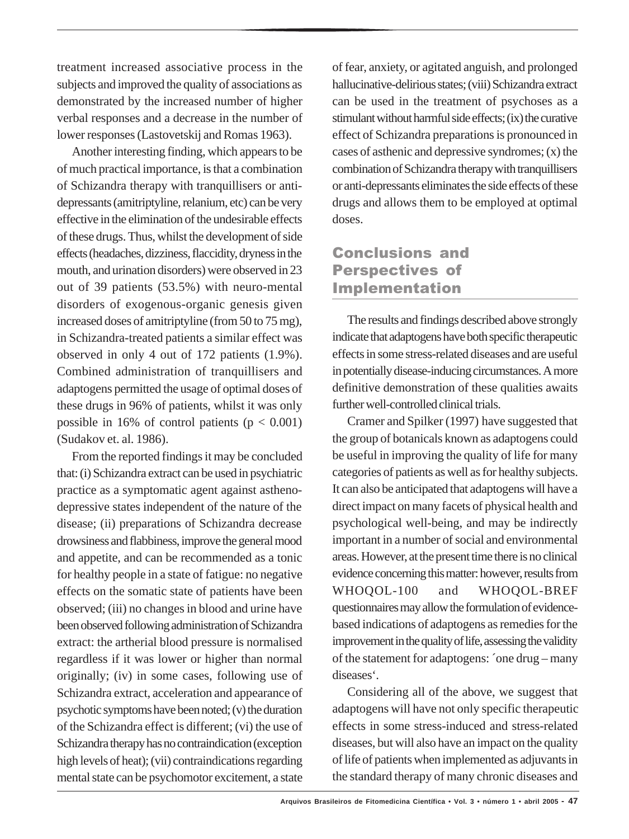treatment increased associative process in the subjects and improved the quality of associations as demonstrated by the increased number of higher verbal responses and a decrease in the number of lower responses (Lastovetskij and Romas 1963).

Another interesting finding, which appears to be of much practical importance, is that a combination of Schizandra therapy with tranquillisers or antidepressants (amitriptyline, relanium, etc) can be very effective in the elimination of the undesirable effects of these drugs. Thus, whilst the development of side effects (headaches, dizziness, flaccidity, dryness in the mouth, and urination disorders) were observed in 23 out of 39 patients (53.5%) with neuro-mental disorders of exogenous-organic genesis given increased doses of amitriptyline (from 50 to 75 mg), in Schizandra-treated patients a similar effect was observed in only 4 out of 172 patients (1.9%). Combined administration of tranquillisers and adaptogens permitted the usage of optimal doses of these drugs in 96% of patients, whilst it was only possible in 16% of control patients  $(p < 0.001)$ (Sudakov et. al. 1986).

From the reported findings it may be concluded that: (i) Schizandra extract can be used in psychiatric practice as a symptomatic agent against asthenodepressive states independent of the nature of the disease; (ii) preparations of Schizandra decrease drowsiness and flabbiness, improve the general mood and appetite, and can be recommended as a tonic for healthy people in a state of fatigue: no negative effects on the somatic state of patients have been observed; (iii) no changes in blood and urine have been observed following administration of Schizandra extract: the artherial blood pressure is normalised regardless if it was lower or higher than normal originally; (iv) in some cases, following use of Schizandra extract, acceleration and appearance of psychotic symptoms have been noted; (v) the duration of the Schizandra effect is different; (vi) the use of Schizandra therapy has no contraindication (exception high levels of heat); (vii) contraindications regarding mental state can be psychomotor excitement, a state

of fear, anxiety, or agitated anguish, and prolonged hallucinative-delirious states; (viii) Schizandra extract can be used in the treatment of psychoses as a stimulant without harmful side effects; (ix) the curative effect of Schizandra preparations is pronounced in cases of asthenic and depressive syndromes; (x) the combination of Schizandra therapy with tranquillisers or anti-depressants eliminates the side effects of these drugs and allows them to be employed at optimal doses.

## Conclusions and Perspectives of Implementation

The results and findings described above strongly indicate that adaptogens have both specific therapeutic effects in some stress-related diseases and are useful in potentially disease-inducing circumstances. A more definitive demonstration of these qualities awaits further well-controlled clinical trials.

Cramer and Spilker (1997) have suggested that the group of botanicals known as adaptogens could be useful in improving the quality of life for many categories of patients as well as for healthy subjects. It can also be anticipated that adaptogens will have a direct impact on many facets of physical health and psychological well-being, and may be indirectly important in a number of social and environmental areas. However, at the present time there is no clinical evidence concerning this matter: however, results from WHOQOL-100 and WHOQOL-BREF questionnaires may allow the formulation of evidencebased indications of adaptogens as remedies for the improvement in the quality of life, assessing the validity of the statement for adaptogens: ´one drug – many diseases'.

Considering all of the above, we suggest that adaptogens will have not only specific therapeutic effects in some stress-induced and stress-related diseases, but will also have an impact on the quality of life of patients when implemented as adjuvants in the standard therapy of many chronic diseases and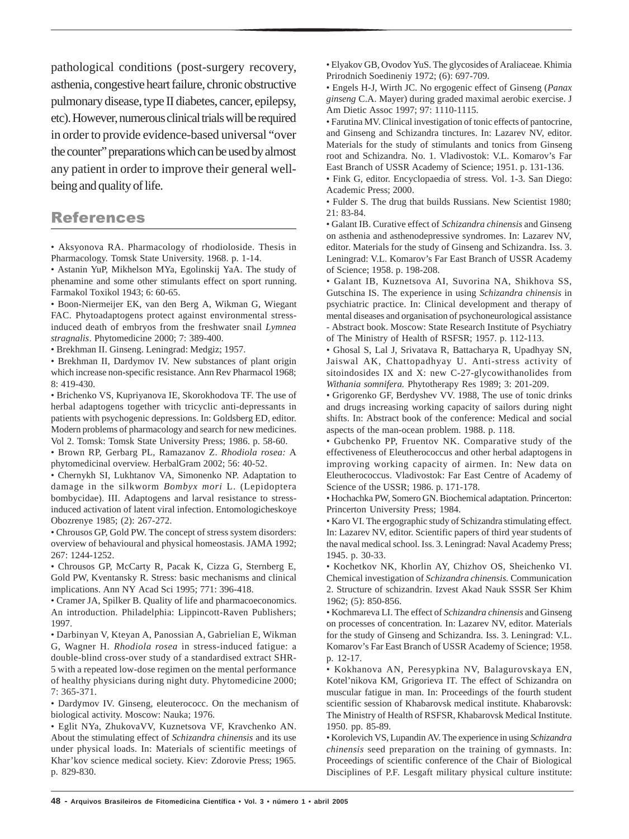pathological conditions (post-surgery recovery, asthenia, congestive heart failure, chronic obstructive pulmonary disease, type II diabetes, cancer, epilepsy, etc). However, numerous clinical trials will be required in order to provide evidence-based universal "over the counter" preparations which can be used by almost any patient in order to improve their general wellbeing and quality of life.

### References

• Aksyonova RA. Pharmacology of rhodioloside. Thesis in Pharmacology. Tomsk State University. 1968. p. 1-14.

• Astanin YuP, Mikhelson MYa, Egolinskij YaA. The study of phenamine and some other stimulants effect on sport running. Farmakol Toxikol 1943; 6: 60-65.

• Boon-Niermeijer EK, van den Berg A, Wikman G, Wiegant FAC. Phytoadaptogens protect against environmental stressinduced death of embryos from the freshwater snail *Lymnea stragnalis*. Phytomedicine 2000; 7: 389-400.

• Brekhman II. Ginseng. Leningrad: Medgiz; 1957.

• Brekhman II, Dardymov IV. New substances of plant origin which increase non-specific resistance. Ann Rev Pharmacol 1968; 8: 419-430.

• Brichenko VS, Kupriyanova IE, Skorokhodova TF. The use of herbal adaptogens together with tricyclic anti-depressants in patients with psychogenic depressions. In: Goldsberg ED, editor. Modern problems of pharmacology and search for new medicines. Vol 2. Tomsk: Tomsk State University Press; 1986. p. 58-60.

• Brown RP, Gerbarg PL, Ramazanov Z. *Rhodiola rosea:* A phytomedicinal overview. HerbalGram 2002; 56: 40-52.

• Chernykh SI, Lukhtanov VA, Simonenko NP. Adaptation to damage in the silkworm *Bombyx mori* L. (Lepidoptera bombycidae). III. Adaptogens and larval resistance to stressinduced activation of latent viral infection. Entomologicheskoye Obozrenye 1985; (2): 267-272.

• Chrousos GP, Gold PW. The concept of stress system disorders: overview of behavioural and physical homeostasis. JAMA 1992; 267: 1244-1252.

• Chrousos GP, McCarty R, Pacak K, Cizza G, Sternberg E, Gold PW, Kventansky R. Stress: basic mechanisms and clinical implications. Ann NY Acad Sci 1995; 771: 396-418.

• Cramer JA, Spilker B. Quality of life and pharmacoeconomics. An introduction. Philadelphia: Lippincott-Raven Publishers; 1997.

• Darbinyan V, Kteyan A, Panossian A, Gabrielian E, Wikman G, Wagner H. *Rhodiola rosea* in stress-induced fatigue: a double-blind cross-over study of a standardised extract SHR-5 with a repeated low-dose regimen on the mental performance of healthy physicians during night duty. Phytomedicine 2000; 7: 365-371.

• Dardymov IV. Ginseng, eleuterococc. On the mechanism of biological activity. Moscow: Nauka; 1976.

• Eglit NYa, ZhukovaVV, Kuznetsova VF, Kravchenko AN. About the stimulating effect of *Schizandra chinensis* and its use under physical loads. In: Materials of scientific meetings of Khar'kov science medical society. Kiev: Zdorovie Press; 1965. p. 829-830.

• Elyakov GB, Ovodov YuS. The glycosides of Araliaceae. Khimia Prirodnich Soedineniy 1972; (6): 697-709.

• Engels H-J, Wirth JC. No ergogenic effect of Ginseng (*Panax ginseng* C.A. Mayer) during graded maximal aerobic exercise. J Am Dietic Assoc 1997; 97: 1110-1115.

• Farutina MV. Clinical investigation of tonic effects of pantocrine, and Ginseng and Schizandra tinctures. In: Lazarev NV, editor. Materials for the study of stimulants and tonics from Ginseng root and Schizandra. No. 1. Vladivostok: V.L. Komarov's Far East Branch of USSR Academy of Science; 1951. p. 131-136.

• Fink G, editor. Encyclopaedia of stress. Vol. 1-3. San Diego: Academic Press; 2000.

• Fulder S. The drug that builds Russians. New Scientist 1980; 21: 83-84.

• Galant IB. Curative effect of *Schizandra chinensis* and Ginseng on asthenia and asthenodepressive syndromes. In: Lazarev NV, editor. Materials for the study of Ginseng and Schizandra*.* Iss. 3. Leningrad: V.L. Komarov's Far East Branch of USSR Academy of Science; 1958. p. 198-208.

• Galant IB, Kuznetsova AI, Suvorina NA, Shikhova SS, Gutschina IS. The experience in using *Schizandra chinensis* in psychiatric practice. In: Clinical development and therapy of mental diseases and organisation of psychoneurological assistance - Abstract book. Moscow: State Research Institute of Psychiatry of The Ministry of Health of RSFSR; 1957. p. 112-113.

• Ghosal S, Lal J, Srivatava R, Battacharya R, Upadhyay SN, Jaiswal AK, Chattopadhyay U. Anti-stress activity of sitoindosides IX and X: new C-27-glycowithanolides from *Withania somnifera.* Phytotherapy Res 1989; 3: 201-209.

• Grigorenko GF, Berdyshev VV. 1988, The use of tonic drinks and drugs increasing working capacity of sailors during night shifts. In: Abstract book of the conference: Medical and social aspects of the man-ocean problem. 1988. p. 118.

• Gubchenko PP, Fruentov NK. Comparative study of the effectiveness of Eleutherococcus and other herbal adaptogens in improving working capacity of airmen. In: New data on Eleutherococcus. Vladivostok: Far East Centre of Academy of Science of the USSR; 1986. p. 171-178.

• Hochachka PW, Somero GN. Biochemical adaptation. Princerton: Princerton University Press; 1984.

• Karo VI. The ergographic study of Schizandra stimulating effect. In: Lazarev NV, editor. Scientific papers of third year students of the naval medical school. Iss. 3. Leningrad: Naval Academy Press; 1945. p. 30-33.

• Kochetkov NK, Khorlin AY, Chizhov OS, Sheichenko VI. Chemical investigation of *Schizandra chinensis.* Communication 2. Structure of schizandrin. Izvest Akad Nauk SSSR Ser Khim 1962; (5): 850-856.

• Kochmareva LI. The effect of *Schizandra chinensis* and Ginseng on processes of concentration*.* In: Lazarev NV, editor. Materials for the study of Ginseng and Schizandra*.* Iss. 3. Leningrad: V.L. Komarov's Far East Branch of USSR Academy of Science; 1958. p. 12-17.

• Kokhanova AN, Peresypkina NV, Balagurovskaya EN, Kotel'nikova KM, Grigorieva IT. The effect of Schizandra on muscular fatigue in man. In: Proceedings of the fourth student scientific session of Khabarovsk medical institute. Khabarovsk: The Ministry of Health of RSFSR, Khabarovsk Medical Institute. 1950. pp. 85-89.

• Korolevich VS, Lupandin AV. The experience in using *Schizandra chinensis* seed preparation on the training of gymnasts. In: Proceedings of scientific conference of the Chair of Biological Disciplines of P.F. Lesgaft military physical culture institute: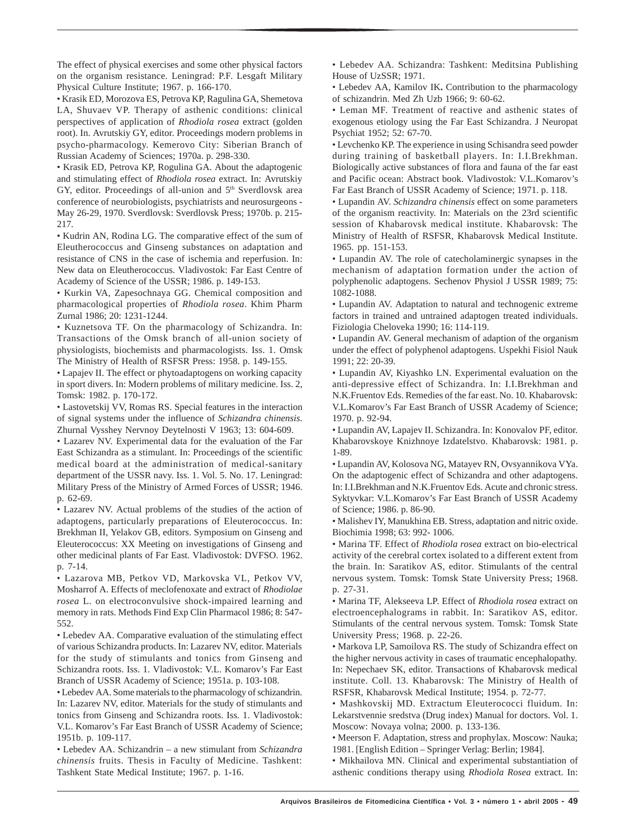The effect of physical exercises and some other physical factors on the organism resistance*.* Leningrad: P.F. Lesgaft Military Physical Culture Institute; 1967. p. 166-170.

• Krasik ED, Morozova ES, Petrova KP, Ragulina GA, Shemetova LA, Shuvaev VP. Therapy of asthenic conditions: clinical perspectives of application of *Rhodiola rosea* extract (golden root). In. Avrutskiy GY, editor. Proceedings modern problems in psycho-pharmacology. Kemerovo City: Siberian Branch of Russian Academy of Sciences; 1970a. p. 298-330.

• Krasik ED, Petrova KP, Rogulina GA. About the adaptogenic and stimulating effect of *Rhodiola rosea* extract. In: Avrutskiy GY, editor. Proceedings of all-union and 5<sup>th</sup> Sverdlovsk area conference of neurobiologists, psychiatrists and neurosurgeons - May 26-29, 1970. Sverdlovsk: Sverdlovsk Press; 1970b. p. 215- 217.

• Kudrin AN, Rodina LG. The comparative effect of the sum of Eleutherococcus and Ginseng substances on adaptation and resistance of CNS in the case of ischemia and reperfusion. In: New data on Eleutherococcus. Vladivostok: Far East Centre of Academy of Science of the USSR; 1986. p. 149-153.

• Kurkin VA, Zapesochnaya GG. Chemical composition and pharmacological properties of *Rhodiola rosea*. Khim Pharm Zurnal 1986; 20: 1231-1244.

• Kuznetsova TF. On the pharmacology of Schizandra. In: Transactions of the Omsk branch of all-union society of physiologists, biochemists and pharmacologists. Iss. 1. Omsk The Ministry of Health of RSFSR Press: 1958. p. 149-155.

• Lapajev II. The effect or phytoadaptogens on working capacity in sport divers. In: Modern problems of military medicine. Iss. 2, Tomsk: 1982. p. 170-172.

• Lastovetskij VV, Romas RS. Special features in the interaction of signal systems under the influence of *Schizandra chinensis*. Zhurnal Vysshey Nervnoy Deytelnosti V 1963; 13: 604-609.

• Lazarev NV. Experimental data for the evaluation of the Far East Schizandra as a stimulant. In: Proceedings of the scientific medical board at the administration of medical-sanitary department of the USSR navy. Iss. 1. Vol. 5. No. 17. Leningrad: Military Press of the Ministry of Armed Forces of USSR; 1946. p. 62-69.

• Lazarev NV. Actual problems of the studies of the action of adaptogens, particularly preparations of Eleuterococcus. In: Brekhman II, Yelakov GB, editors. Symposium on Ginseng and Eleuterococcus: XX Meeting on investigations of Ginseng and other medicinal plants of Far East. Vladivostok: DVFSO. 1962. p. 7-14.

• Lazarova MB, Petkov VD, Markovska VL, Petkov VV, Mosharrof A. Effects of meclofenoxate and extract of *Rhodiolae rosea* L. on electroconvulsive shock-impaired learning and memory in rats. Methods Find Exp Clin Pharmacol 1986; 8: 547- 552.

• Lebedev AA. Comparative evaluation of the stimulating effect of various Schizandra products. In: Lazarev NV, editor. Materials for the study of stimulants and tonics from Ginseng and Schizandra roots. Iss. 1. Vladivostok: V.L. Komarov's Far East Branch of USSR Academy of Science; 1951a. p. 103-108.

• Lebedev AA. Some materials to the pharmacology of schizandrin. In: Lazarev NV, editor. Materials for the study of stimulants and tonics from Ginseng and Schizandra roots. Iss. 1. Vladivostok: V.L. Komarov's Far East Branch of USSR Academy of Science; 1951b. p. 109-117.

• Lebedev AA. Schizandrin – a new stimulant from *Schizandra chinensis* fruits. Thesis in Faculty of Medicine. Tashkent: Tashkent State Medical Institute; 1967. p. 1-16.

• Lebedev AA. Schizandra: Tashkent: Meditsina Publishing House of UzSSR; 1971.

• Lebedev AA, Kamilov IK**.** Contribution to the pharmacology of schizandrin. Med Zh Uzb 1966; 9: 60-62.

• Leman MF. Treatment of reactive and asthenic states of exogenous etiology using the Far East Schizandra. J Neuropat Psychiat 1952; 52: 67-70.

• Levchenko KP. The experience in using Schisandra seed powder during training of basketball players. In: I.I.Brekhman. Biologically active substances of flora and fauna of the far east and Pacific ocean: Abstract book. Vladivostok: V.L.Komarov's Far East Branch of USSR Academy of Science; 1971. p. 118.

• Lupandin AV. *Schizandra chinensis* effect on some parameters of the organism reactivity. In: Materials on the 23rd scientific session of Khabarovsk medical institute. Khabarovsk: The Ministry of Health of RSFSR, Khabarovsk Medical Institute. 1965. pp. 151-153.

• Lupandin AV. The role of catecholaminergic synapses in the mechanism of adaptation formation under the action of polyphenolic adaptogens. Sechenov Physiol J USSR 1989; 75: 1082-1088.

• Lupandin AV. Adaptation to natural and technogenic extreme factors in trained and untrained adaptogen treated individuals. Fiziologia Cheloveka 1990; 16: 114-119.

• Lupandin AV. General mechanism of adaption of the organism under the effect of polyphenol adaptogens. Uspekhi Fisiol Nauk 1991; 22: 20-39.

• Lupandin AV, Kiyashko LN. Experimental evaluation on the anti-depressive effect of Schizandra. In: I.I.Brekhman and N.K.Fruentov Eds. Remedies of the far east. No. 10. Khabarovsk: V.L.Komarov's Far East Branch of USSR Academy of Science; 1970. p. 92-94.

• Lupandin AV, Lapajev II. Schizandra. In: Konovalov PF, editor. Khabarovskoye Knizhnoye Izdatelstvo. Khabarovsk: 1981. p. 1-89.

• Lupandin AV, Kolosova NG, Matayev RN, Ovsyannikova VYa. On the adaptogenic effect of Schizandra and other adaptogens. In: I.I.Brekhman and N.K.Fruentov Eds. Acute and chronic stress. Syktyvkar: V.L.Komarov's Far East Branch of USSR Academy of Science; 1986. p. 86-90.

• Malishev IY, Manukhina EB. Stress, adaptation and nitric oxide. Biochimia 1998; 63: 992- 1006.

• Marina TF. Effect of *Rhodiola rosea* extract on bio-electrical activity of the cerebral cortex isolated to a different extent from the brain. In: Saratikov AS, editor*.* Stimulants of the central nervous system. Tomsk: Tomsk State University Press; 1968. p. 27-31.

• Marina TF, Alekseeva LP. Effect of *Rhodiola rosea* extract on electroencephalograms in rabbit. In: Saratikov AS, editor*.* Stimulants of the central nervous system. Tomsk: Tomsk State University Press; 1968. p. 22-26.

• Markova LP, Samoilova RS. The study of Schizandra effect on the higher nervous activity in cases of traumatic encephalopathy. In: Nepechaev SK, editor. Transactions of Khabarovsk medical institute. Coll. 13. Khabarovsk: The Ministry of Health of RSFSR, Khabarovsk Medical Institute; 1954. p. 72-77.

• Mashkovskij MD. Extractum Eleuterococci fluidum. In: Lekarstvennie sredstva (Drug index) Manual for doctors. Vol. 1. Moscow: Novaya volna; 2000. p. 133-136.

• Meerson F. Adaptation, stress and prophylax. Moscow: Nauka; 1981. [English Edition – Springer Verlag: Berlin; 1984].

• Mikhailova MN. Clinical and experimental substantiation of asthenic conditions therapy using *Rhodiola Rosea* extract. In: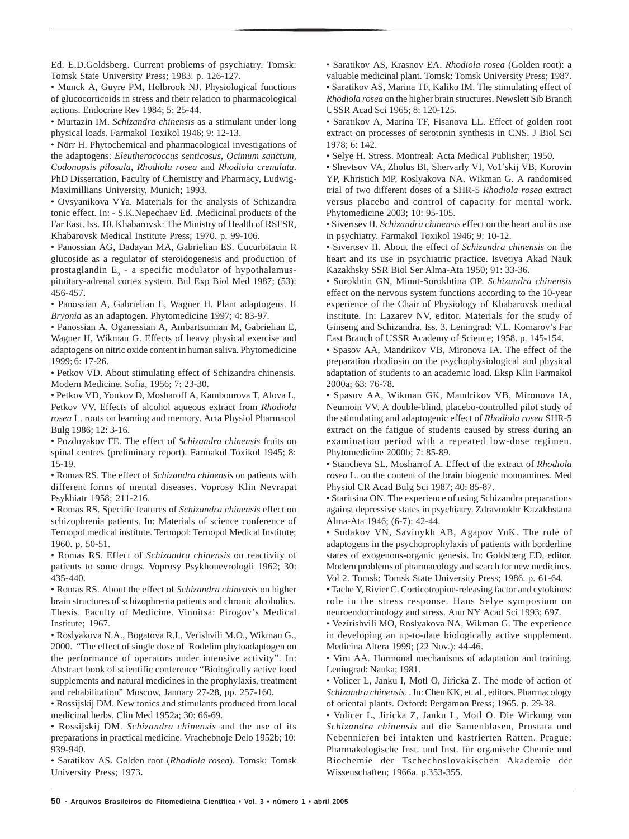Ed. E.D.Goldsberg. Current problems of psychiatry. Tomsk: Tomsk State University Press; 1983. p. 126-127.

• Munck A, Guyre PM, Holbrook NJ. Physiological functions of glucocorticoids in stress and their relation to pharmacological actions. Endocrine Rev 1984; 5: 25-44.

• Murtazin IM. *Schizandra chinensis* as a stimulant under long physical loads. Farmakol Toxikol 1946; 9: 12-13.

• Nörr H. Phytochemical and pharmacological investigations of the adaptogens: *Eleutherococcus senticosus, Ocimum sanctum, Codonopsis pilosula, Rhodiola rosea* and *Rhodiola crenulata*. PhD Dissertation, Faculty of Chemistry and Pharmacy, Ludwig-Maximillians University, Munich; 1993.

• Ovsyanikova VYa. Materials for the analysis of Schizandra tonic effect. In: - S.K.Nepechaev Ed. .Medicinal products of the Far East. Iss. 10. Khabarovsk: The Ministry of Health of RSFSR, Khabarovsk Medical Institute Press; 1970. p. 99-106.

• Panossian AG, Dadayan MA, Gabrielian ES. Cucurbitacin R glucoside as a regulator of steroidogenesis and production of prostaglandin  $E_2$  - a specific modulator of hypothalamuspituitary-adrenal cortex system. Bul Exp Biol Med 1987; (53): 456-457.

• Panossian A, Gabrielian E, Wagner H. Plant adaptogens. II *Bryonia* as an adaptogen. Phytomedicine 1997; 4: 83-97.

• Panossian A, Oganessian A, Ambartsumian M, Gabrielian E, Wagner H, Wikman G. Effects of heavy physical exercise and adaptogens on nitric oxide content in human saliva. Phytomedicine 1999; 6: 17-26.

• Petkov VD. About stimulating effect of Schizandra chinensis. Modern Medicine. Sofia, 1956; 7: 23-30.

• Petkov VD, Yonkov D, Mosharoff A, Kambourova T, Alova L, Petkov VV. Effects of alcohol aqueous extract from *Rhodiola rosea* L. roots on learning and memory. Acta Physiol Pharmacol Bulg 1986; 12: 3-16.

• Pozdnyakov FE. The effect of *Schizandra chinensis* fruits on spinal centres (preliminary report). Farmakol Toxikol 1945; 8: 15-19.

• Romas RS. The effect of *Schizandra chinensis* on patients with different forms of mental diseases. Voprosy Klin Nevrapat Psykhiatr 1958; 211-216.

• Romas RS. Specific features of *Schizandra chinensis* effect on schizophrenia patients. In: Materials of science conference of Ternopol medical institute. Ternopol: Ternopol Medical Institute; 1960. p. 50-51.

• Romas RS. Effect of *Schizandra chinensis* on reactivity of patients to some drugs. Voprosy Psykhonevrologii 1962; 30: 435-440.

• Romas RS. About the effect of *Schizandra chinensis* on higher brain structures of schizophrenia patients and chronic alcoholics. Thesis. Faculty of Medicine. Vinnitsa: Pirogov's Medical Institute; 1967.

• Roslyakova N.A., Bogatova R.I., Verishvili M.O., Wikman G., 2000. "The effect of single dose of Rodelim phytoadaptogen on the performance of operators under intensive activity". In: Abstract book of scientific conference "Biologically active food supplements and natural medicines in the prophylaxis, treatment and rehabilitation" Moscow, January 27-28, pp. 257-160.

• Rossijskij DM. New tonics and stimulants produced from local medicinal herbs. Clin Med 1952a; 30: 66-69.

• Rossijskij DM. *Schizandra chinensis* and the use of its preparations in practical medicine. Vrachebnoje Delo 1952b; 10: 939-940.

• Saratikov AS. Golden root (*Rhodiola rosea*). Tomsk: Tomsk University Press; 1973**.**

• Saratikov AS, Krasnov EA. *Rhodiola rosea* (Golden root): a valuable medicinal plant. Tomsk: Tomsk University Press; 1987. • Saratikov AS, Marina TF, Kaliko IM. The stimulating effect of *Rhodiola rosea* on the higher brain structures. Newslett Sib Branch USSR Acad Sci 1965; 8: 120-125.

• Saratikov A, Marina TF, Fisanova LL. Effect of golden root extract on processes of serotonin synthesis in CNS. J Biol Sci 1978; 6: 142.

• Selye H. Stress. Montreal: Acta Medical Publisher; 1950.

• Shevtsov VA, Zholus BI, Shervarly VI, Vo1'skij VB, Korovin YP, Khristich MP, Roslyakova NA, Wikman G. A randomised trial of two different doses of a SHR-5 *Rhodiola rosea* extract versus placebo and control of capacity for mental work. Phytomedicine 2003; 10: 95-105.

• Sivertsev II. *Schizandra chinensis* effect on the heart and its use in psychiatry. Farmakol Toxikol 1946; 9: 10-12.

• Sivertsev II. About the effect of *Schizandra chinensis* on the heart and its use in psychiatric practice. Isvetiya Akad Nauk Kazakhsky SSR Biol Ser Alma-Ata 1950; 91: 33-36.

• Sorokhtin GN, Minut-Sorokhtina OP. *Schizandra chinensis* effect on the nervous system functions according to the 10-year experience of the Chair of Physiology of Khabarovsk medical institute*.* In: Lazarev NV, editor. Materials for the study of Ginseng and Schizandra*.* Iss. 3. Leningrad: V.L. Komarov's Far East Branch of USSR Academy of Science; 1958. p. 145-154.

• Spasov AA, Mandrikov VB, Mironova IA. The effect of the preparation rhodiosin on the psychophysiological and physical adaptation of students to an academic load. Eksp Klin Farmakol 2000a; 63: 76-78.

• Spasov AA, Wikman GK, Mandrikov VB, Mironova IA, Neumoin VV. A double-blind, placebo-controlled pilot study of the stimulating and adaptogenic effect of *Rhodiola rosea* SHR-5 extract on the fatigue of students caused by stress during an examination period with a repeated low-dose regimen. Phytomedicine 2000b; 7: 85-89.

• Stancheva SL, Mosharrof A. Effect of the extract of *Rhodiola rosea* L. on the content of the brain biogenic monoamines. Med Physiol CR Acad Bulg Sci 1987; 40: 85-87.

• Staritsina ON. The experience of using Schizandra preparations against depressive states in psychiatry. Zdravookhr Kazakhstana Alma-Ata 1946; (6-7): 42-44.

• Sudakov VN, Savinykh AB, Agapov YuK. The role of adaptogens in the psychoprophylaxis of patients with borderline states of exogenous-organic genesis. In: Goldsberg ED, editor. Modern problems of pharmacology and search for new medicines. Vol 2. Tomsk: Tomsk State University Press; 1986. p. 61-64.

• Tache Y, Rivier C. Corticotropine-releasing factor and cytokines: role in the stress response. Hans Selye symposium on neuroendocrinology and stress. Ann NY Acad Sci 1993; 697.

• Vezirishvili MO, Roslyakova NA, Wikman G. The experience in developing an up-to-date biologically active supplement*.* Medicina Altera 1999; (22 Nov.): 44-46.

• Viru AA. Hormonal mechanisms of adaptation and training. Leningrad: Nauka; 1981.

• Volicer L, Janku I, Motl O, Jiricka Z. The mode of action of *Schizandra chinensis*. . In: Chen KK, et. al., editors. Pharmacology of oriental plants. Oxford: Pergamon Press; 1965. p. 29-38.

• Volicer L, Jiricka Z, Janku L, Motl O. Die Wirkung von *Schizandra chinensis* auf die Samenblasen, Prostata und Nebennieren bei intakten und kastrierten Ratten. Prague: Pharmakologische Inst. und Inst. für organische Chemie und Biochemie der Tschechoslovakischen Akademie der Wissenschaften; 1966a. p.353-355.